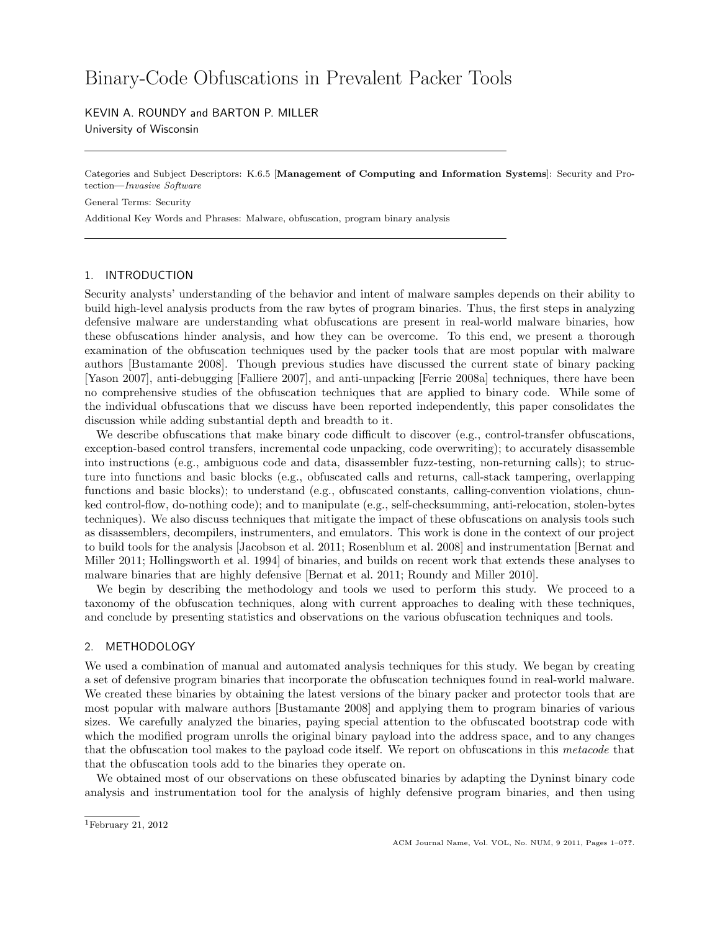# Binary-Code Obfuscations in Prevalent Packer Tools

KEVIN A. ROUNDY and BARTON P. MILLER University of Wisconsin

Categories and Subject Descriptors: K.6.5 [Management of Computing and Information Systems]: Security and Protection—Invasive Software

General Terms: Security

Additional Key Words and Phrases: Malware, obfuscation, program binary analysis

## 1. INTRODUCTION

Security analysts' understanding of the behavior and intent of malware samples depends on their ability to build high-level analysis products from the raw bytes of program binaries. Thus, the first steps in analyzing defensive malware are understanding what obfuscations are present in real-world malware binaries, how these obfuscations hinder analysis, and how they can be overcome. To this end, we present a thorough examination of the obfuscation techniques used by the packer tools that are most popular with malware authors [Bustamante 2008]. Though previous studies have discussed the current state of binary packing [Yason 2007], anti-debugging [Falliere 2007], and anti-unpacking [Ferrie 2008a] techniques, there have been no comprehensive studies of the obfuscation techniques that are applied to binary code. While some of the individual obfuscations that we discuss have been reported independently, this paper consolidates the discussion while adding substantial depth and breadth to it.

We describe obfuscations that make binary code difficult to discover (e.g., control-transfer obfuscations, exception-based control transfers, incremental code unpacking, code overwriting); to accurately disassemble into instructions (e.g., ambiguous code and data, disassembler fuzz-testing, non-returning calls); to structure into functions and basic blocks (e.g., obfuscated calls and returns, call-stack tampering, overlapping functions and basic blocks); to understand (e.g., obfuscated constants, calling-convention violations, chunked control-flow, do-nothing code); and to manipulate (e.g., self-checksumming, anti-relocation, stolen-bytes techniques). We also discuss techniques that mitigate the impact of these obfuscations on analysis tools such as disassemblers, decompilers, instrumenters, and emulators. This work is done in the context of our project to build tools for the analysis [Jacobson et al. 2011; Rosenblum et al. 2008] and instrumentation [Bernat and Miller 2011; Hollingsworth et al. 1994] of binaries, and builds on recent work that extends these analyses to malware binaries that are highly defensive [Bernat et al. 2011; Roundy and Miller 2010].

We begin by describing the methodology and tools we used to perform this study. We proceed to a taxonomy of the obfuscation techniques, along with current approaches to dealing with these techniques, and conclude by presenting statistics and observations on the various obfuscation techniques and tools.

## 2. METHODOLOGY

We used a combination of manual and automated analysis techniques for this study. We began by creating a set of defensive program binaries that incorporate the obfuscation techniques found in real-world malware. We created these binaries by obtaining the latest versions of the binary packer and protector tools that are most popular with malware authors [Bustamante 2008] and applying them to program binaries of various sizes. We carefully analyzed the binaries, paying special attention to the obfuscated bootstrap code with which the modified program unrolls the original binary payload into the address space, and to any changes that the obfuscation tool makes to the payload code itself. We report on obfuscations in this metacode that that the obfuscation tools add to the binaries they operate on.

We obtained most of our observations on these obfuscated binaries by adapting the Dyninst binary code analysis and instrumentation tool for the analysis of highly defensive program binaries, and then using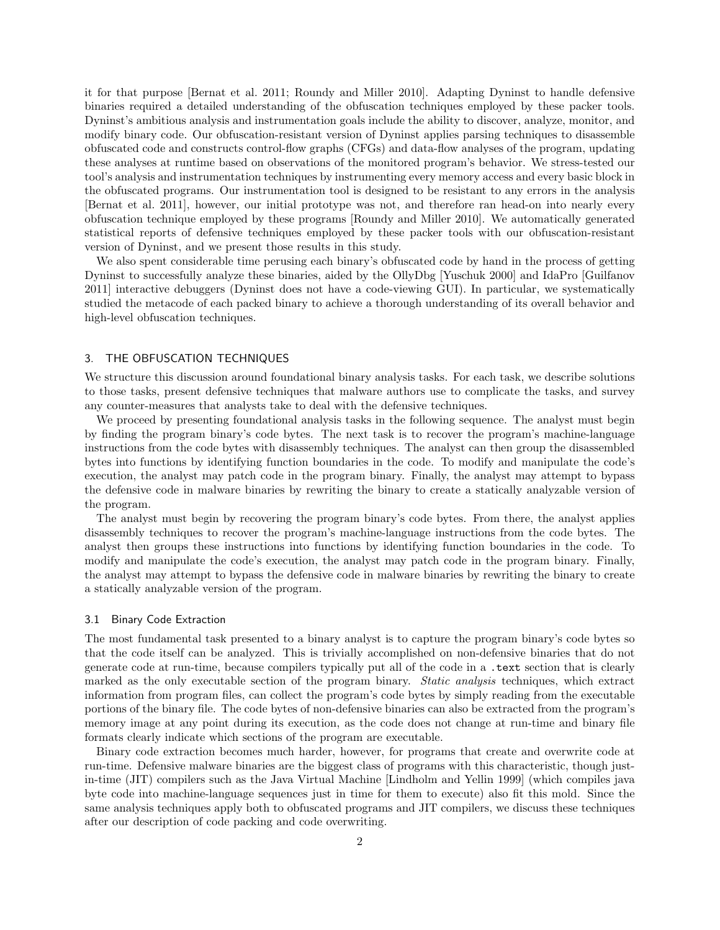it for that purpose [Bernat et al. 2011; Roundy and Miller 2010]. Adapting Dyninst to handle defensive binaries required a detailed understanding of the obfuscation techniques employed by these packer tools. Dyninst's ambitious analysis and instrumentation goals include the ability to discover, analyze, monitor, and modify binary code. Our obfuscation-resistant version of Dyninst applies parsing techniques to disassemble obfuscated code and constructs control-flow graphs (CFGs) and data-flow analyses of the program, updating these analyses at runtime based on observations of the monitored program's behavior. We stress-tested our tool's analysis and instrumentation techniques by instrumenting every memory access and every basic block in the obfuscated programs. Our instrumentation tool is designed to be resistant to any errors in the analysis [Bernat et al. 2011], however, our initial prototype was not, and therefore ran head-on into nearly every obfuscation technique employed by these programs [Roundy and Miller 2010]. We automatically generated statistical reports of defensive techniques employed by these packer tools with our obfuscation-resistant version of Dyninst, and we present those results in this study.

We also spent considerable time perusing each binary's obfuscated code by hand in the process of getting Dyninst to successfully analyze these binaries, aided by the OllyDbg [Yuschuk 2000] and IdaPro [Guilfanov 2011] interactive debuggers (Dyninst does not have a code-viewing GUI). In particular, we systematically studied the metacode of each packed binary to achieve a thorough understanding of its overall behavior and high-level obfuscation techniques.

## 3. THE OBFUSCATION TECHNIQUES

We structure this discussion around foundational binary analysis tasks. For each task, we describe solutions to those tasks, present defensive techniques that malware authors use to complicate the tasks, and survey any counter-measures that analysts take to deal with the defensive techniques.

We proceed by presenting foundational analysis tasks in the following sequence. The analyst must begin by finding the program binary's code bytes. The next task is to recover the program's machine-language instructions from the code bytes with disassembly techniques. The analyst can then group the disassembled bytes into functions by identifying function boundaries in the code. To modify and manipulate the code's execution, the analyst may patch code in the program binary. Finally, the analyst may attempt to bypass the defensive code in malware binaries by rewriting the binary to create a statically analyzable version of the program.

The analyst must begin by recovering the program binary's code bytes. From there, the analyst applies disassembly techniques to recover the program's machine-language instructions from the code bytes. The analyst then groups these instructions into functions by identifying function boundaries in the code. To modify and manipulate the code's execution, the analyst may patch code in the program binary. Finally, the analyst may attempt to bypass the defensive code in malware binaries by rewriting the binary to create a statically analyzable version of the program.

## 3.1 Binary Code Extraction

The most fundamental task presented to a binary analyst is to capture the program binary's code bytes so that the code itself can be analyzed. This is trivially accomplished on non-defensive binaries that do not generate code at run-time, because compilers typically put all of the code in a .text section that is clearly marked as the only executable section of the program binary. Static analysis techniques, which extract information from program files, can collect the program's code bytes by simply reading from the executable portions of the binary file. The code bytes of non-defensive binaries can also be extracted from the program's memory image at any point during its execution, as the code does not change at run-time and binary file formats clearly indicate which sections of the program are executable.

Binary code extraction becomes much harder, however, for programs that create and overwrite code at run-time. Defensive malware binaries are the biggest class of programs with this characteristic, though justin-time (JIT) compilers such as the Java Virtual Machine [Lindholm and Yellin 1999] (which compiles java byte code into machine-language sequences just in time for them to execute) also fit this mold. Since the same analysis techniques apply both to obfuscated programs and JIT compilers, we discuss these techniques after our description of code packing and code overwriting.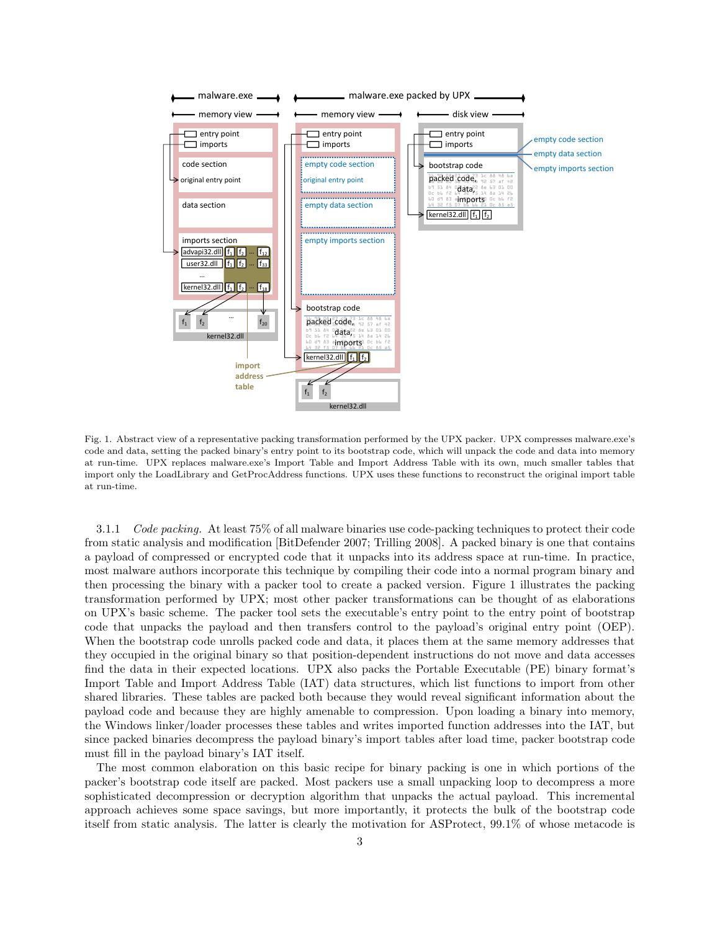

Fig. 1. Abstract view of a representative packing transformation performed by the UPX packer. UPX compresses malware.exe's code and data, setting the packed binary's entry point to its bootstrap code, which will unpack the code and data into memory at run-time. UPX replaces malware.exe's Import Table and Import Address Table with its own, much smaller tables that import only the LoadLibrary and GetProcAddress functions. UPX uses these functions to reconstruct the original import table at run-time.

3.1.1 Code packing. At least 75% of all malware binaries use code-packing techniques to protect their code from static analysis and modification [BitDefender 2007; Trilling 2008]. A packed binary is one that contains a payload of compressed or encrypted code that it unpacks into its address space at run-time. In practice, most malware authors incorporate this technique by compiling their code into a normal program binary and then processing the binary with a packer tool to create a packed version. Figure 1 illustrates the packing transformation performed by UPX; most other packer transformations can be thought of as elaborations on UPX's basic scheme. The packer tool sets the executable's entry point to the entry point of bootstrap code that unpacks the payload and then transfers control to the payload's original entry point (OEP). When the bootstrap code unrolls packed code and data, it places them at the same memory addresses that they occupied in the original binary so that position-dependent instructions do not move and data accesses find the data in their expected locations. UPX also packs the Portable Executable (PE) binary format's Import Table and Import Address Table (IAT) data structures, which list functions to import from other shared libraries. These tables are packed both because they would reveal significant information about the payload code and because they are highly amenable to compression. Upon loading a binary into memory, the Windows linker/loader processes these tables and writes imported function addresses into the IAT, but since packed binaries decompress the payload binary's import tables after load time, packer bootstrap code must fill in the payload binary's IAT itself.

The most common elaboration on this basic recipe for binary packing is one in which portions of the packer's bootstrap code itself are packed. Most packers use a small unpacking loop to decompress a more sophisticated decompression or decryption algorithm that unpacks the actual payload. This incremental approach achieves some space savings, but more importantly, it protects the bulk of the bootstrap code itself from static analysis. The latter is clearly the motivation for ASProtect, 99.1% of whose metacode is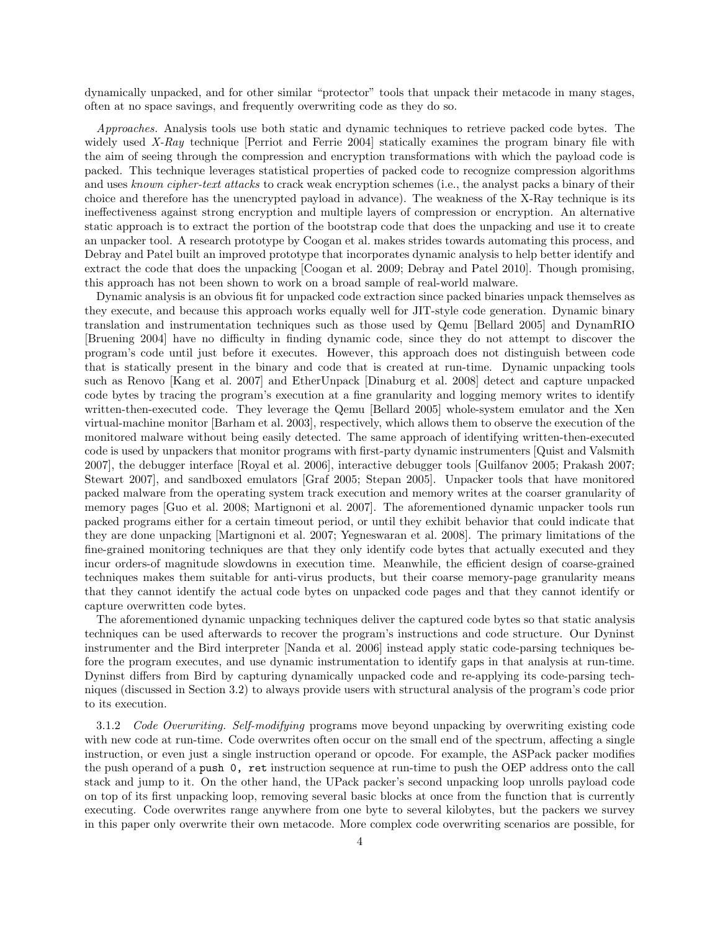dynamically unpacked, and for other similar "protector" tools that unpack their metacode in many stages, often at no space savings, and frequently overwriting code as they do so.

Approaches. Analysis tools use both static and dynamic techniques to retrieve packed code bytes. The widely used X-Ray technique [Perriot and Ferrie 2004] statically examines the program binary file with the aim of seeing through the compression and encryption transformations with which the payload code is packed. This technique leverages statistical properties of packed code to recognize compression algorithms and uses known cipher-text attacks to crack weak encryption schemes (i.e., the analyst packs a binary of their choice and therefore has the unencrypted payload in advance). The weakness of the X-Ray technique is its ineffectiveness against strong encryption and multiple layers of compression or encryption. An alternative static approach is to extract the portion of the bootstrap code that does the unpacking and use it to create an unpacker tool. A research prototype by Coogan et al. makes strides towards automating this process, and Debray and Patel built an improved prototype that incorporates dynamic analysis to help better identify and extract the code that does the unpacking [Coogan et al. 2009; Debray and Patel 2010]. Though promising, this approach has not been shown to work on a broad sample of real-world malware.

Dynamic analysis is an obvious fit for unpacked code extraction since packed binaries unpack themselves as they execute, and because this approach works equally well for JIT-style code generation. Dynamic binary translation and instrumentation techniques such as those used by Qemu [Bellard 2005] and DynamRIO [Bruening 2004] have no difficulty in finding dynamic code, since they do not attempt to discover the program's code until just before it executes. However, this approach does not distinguish between code that is statically present in the binary and code that is created at run-time. Dynamic unpacking tools such as Renovo [Kang et al. 2007] and EtherUnpack [Dinaburg et al. 2008] detect and capture unpacked code bytes by tracing the program's execution at a fine granularity and logging memory writes to identify written-then-executed code. They leverage the Qemu [Bellard 2005] whole-system emulator and the Xen virtual-machine monitor [Barham et al. 2003], respectively, which allows them to observe the execution of the monitored malware without being easily detected. The same approach of identifying written-then-executed code is used by unpackers that monitor programs with first-party dynamic instrumenters [Quist and Valsmith 2007], the debugger interface [Royal et al. 2006], interactive debugger tools [Guilfanov 2005; Prakash 2007; Stewart 2007], and sandboxed emulators [Graf 2005; Stepan 2005]. Unpacker tools that have monitored packed malware from the operating system track execution and memory writes at the coarser granularity of memory pages [Guo et al. 2008; Martignoni et al. 2007]. The aforementioned dynamic unpacker tools run packed programs either for a certain timeout period, or until they exhibit behavior that could indicate that they are done unpacking [Martignoni et al. 2007; Yegneswaran et al. 2008]. The primary limitations of the fine-grained monitoring techniques are that they only identify code bytes that actually executed and they incur orders-of magnitude slowdowns in execution time. Meanwhile, the efficient design of coarse-grained techniques makes them suitable for anti-virus products, but their coarse memory-page granularity means that they cannot identify the actual code bytes on unpacked code pages and that they cannot identify or capture overwritten code bytes.

The aforementioned dynamic unpacking techniques deliver the captured code bytes so that static analysis techniques can be used afterwards to recover the program's instructions and code structure. Our Dyninst instrumenter and the Bird interpreter [Nanda et al. 2006] instead apply static code-parsing techniques before the program executes, and use dynamic instrumentation to identify gaps in that analysis at run-time. Dyninst differs from Bird by capturing dynamically unpacked code and re-applying its code-parsing techniques (discussed in Section 3.2) to always provide users with structural analysis of the program's code prior to its execution.

3.1.2 Code Overwriting. Self-modifying programs move beyond unpacking by overwriting existing code with new code at run-time. Code overwrites often occur on the small end of the spectrum, affecting a single instruction, or even just a single instruction operand or opcode. For example, the ASPack packer modifies the push operand of a push 0, ret instruction sequence at run-time to push the OEP address onto the call stack and jump to it. On the other hand, the UPack packer's second unpacking loop unrolls payload code on top of its first unpacking loop, removing several basic blocks at once from the function that is currently executing. Code overwrites range anywhere from one byte to several kilobytes, but the packers we survey in this paper only overwrite their own metacode. More complex code overwriting scenarios are possible, for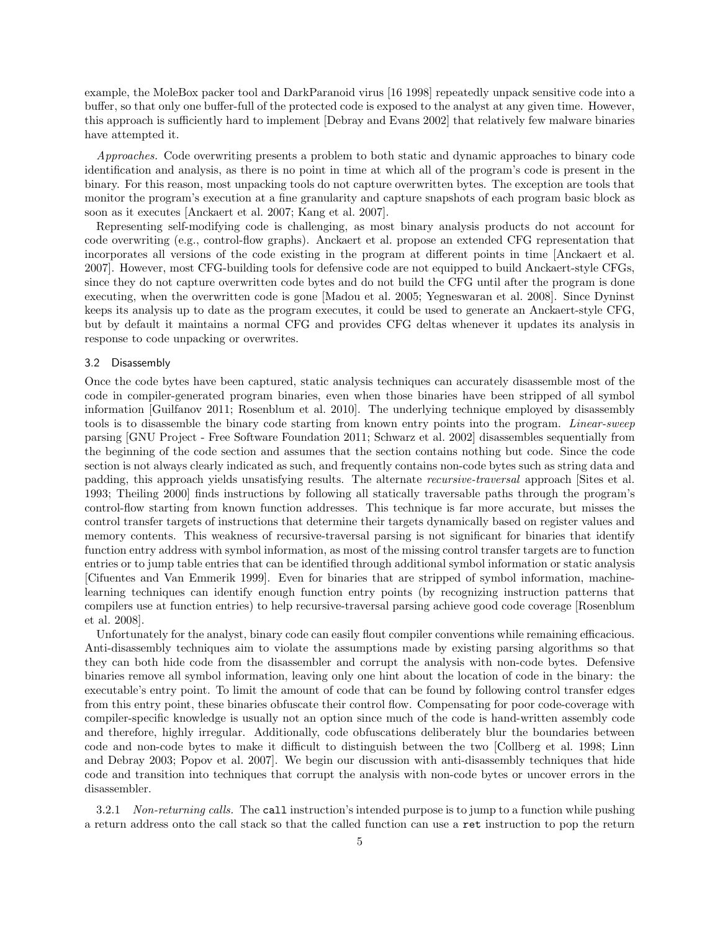example, the MoleBox packer tool and DarkParanoid virus [16 1998] repeatedly unpack sensitive code into a buffer, so that only one buffer-full of the protected code is exposed to the analyst at any given time. However, this approach is sufficiently hard to implement [Debray and Evans 2002] that relatively few malware binaries have attempted it.

Approaches. Code overwriting presents a problem to both static and dynamic approaches to binary code identification and analysis, as there is no point in time at which all of the program's code is present in the binary. For this reason, most unpacking tools do not capture overwritten bytes. The exception are tools that monitor the program's execution at a fine granularity and capture snapshots of each program basic block as soon as it executes [Anckaert et al. 2007; Kang et al. 2007].

Representing self-modifying code is challenging, as most binary analysis products do not account for code overwriting (e.g., control-flow graphs). Anckaert et al. propose an extended CFG representation that incorporates all versions of the code existing in the program at different points in time [Anckaert et al. 2007]. However, most CFG-building tools for defensive code are not equipped to build Anckaert-style CFGs, since they do not capture overwritten code bytes and do not build the CFG until after the program is done executing, when the overwritten code is gone [Madou et al. 2005; Yegneswaran et al. 2008]. Since Dyninst keeps its analysis up to date as the program executes, it could be used to generate an Anckaert-style CFG, but by default it maintains a normal CFG and provides CFG deltas whenever it updates its analysis in response to code unpacking or overwrites.

## 3.2 Disassembly

Once the code bytes have been captured, static analysis techniques can accurately disassemble most of the code in compiler-generated program binaries, even when those binaries have been stripped of all symbol information [Guilfanov 2011; Rosenblum et al. 2010]. The underlying technique employed by disassembly tools is to disassemble the binary code starting from known entry points into the program. *Linear-sweep* parsing [GNU Project - Free Software Foundation 2011; Schwarz et al. 2002] disassembles sequentially from the beginning of the code section and assumes that the section contains nothing but code. Since the code section is not always clearly indicated as such, and frequently contains non-code bytes such as string data and padding, this approach yields unsatisfying results. The alternate recursive-traversal approach [Sites et al. 1993; Theiling 2000] finds instructions by following all statically traversable paths through the program's control-flow starting from known function addresses. This technique is far more accurate, but misses the control transfer targets of instructions that determine their targets dynamically based on register values and memory contents. This weakness of recursive-traversal parsing is not significant for binaries that identify function entry address with symbol information, as most of the missing control transfer targets are to function entries or to jump table entries that can be identified through additional symbol information or static analysis [Cifuentes and Van Emmerik 1999]. Even for binaries that are stripped of symbol information, machinelearning techniques can identify enough function entry points (by recognizing instruction patterns that compilers use at function entries) to help recursive-traversal parsing achieve good code coverage [Rosenblum et al. 2008].

Unfortunately for the analyst, binary code can easily flout compiler conventions while remaining efficacious. Anti-disassembly techniques aim to violate the assumptions made by existing parsing algorithms so that they can both hide code from the disassembler and corrupt the analysis with non-code bytes. Defensive binaries remove all symbol information, leaving only one hint about the location of code in the binary: the executable's entry point. To limit the amount of code that can be found by following control transfer edges from this entry point, these binaries obfuscate their control flow. Compensating for poor code-coverage with compiler-specific knowledge is usually not an option since much of the code is hand-written assembly code and therefore, highly irregular. Additionally, code obfuscations deliberately blur the boundaries between code and non-code bytes to make it difficult to distinguish between the two [Collberg et al. 1998; Linn and Debray 2003; Popov et al. 2007]. We begin our discussion with anti-disassembly techniques that hide code and transition into techniques that corrupt the analysis with non-code bytes or uncover errors in the disassembler.

3.2.1 Non-returning calls. The call instruction's intended purpose is to jump to a function while pushing a return address onto the call stack so that the called function can use a ret instruction to pop the return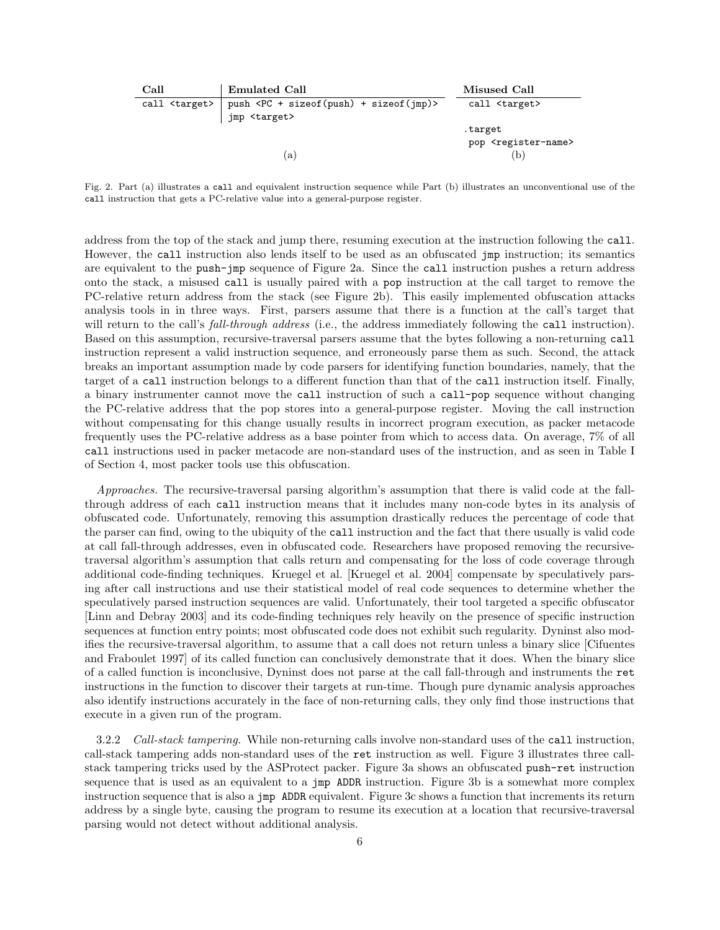| Call                   | <b>Emulated Call</b>                                                            | Misused Call                                          |
|------------------------|---------------------------------------------------------------------------------|-------------------------------------------------------|
| call <target></target> | push $\langle PC + sizeof(push) + sizeof(jmp) \rangle$<br>jmp <target></target> | call <target></target>                                |
|                        | (a)                                                                             | .target<br>pop <register-name><br/>b)</register-name> |

Fig. 2. Part (a) illustrates a call and equivalent instruction sequence while Part (b) illustrates an unconventional use of the call instruction that gets a PC-relative value into a general-purpose register.

address from the top of the stack and jump there, resuming execution at the instruction following the call. However, the call instruction also lends itself to be used as an obfuscated jmp instruction; its semantics are equivalent to the push-jmp sequence of Figure 2a. Since the call instruction pushes a return address onto the stack, a misused call is usually paired with a pop instruction at the call target to remove the PC-relative return address from the stack (see Figure 2b). This easily implemented obfuscation attacks analysis tools in in three ways. First, parsers assume that there is a function at the call's target that will return to the call's *fall-through address* (i.e., the address immediately following the call instruction). Based on this assumption, recursive-traversal parsers assume that the bytes following a non-returning call instruction represent a valid instruction sequence, and erroneously parse them as such. Second, the attack breaks an important assumption made by code parsers for identifying function boundaries, namely, that the target of a call instruction belongs to a different function than that of the call instruction itself. Finally, a binary instrumenter cannot move the call instruction of such a call-pop sequence without changing the PC-relative address that the pop stores into a general-purpose register. Moving the call instruction without compensating for this change usually results in incorrect program execution, as packer metacode frequently uses the PC-relative address as a base pointer from which to access data. On average, 7% of all call instructions used in packer metacode are non-standard uses of the instruction, and as seen in Table I of Section 4, most packer tools use this obfuscation.

Approaches. The recursive-traversal parsing algorithm's assumption that there is valid code at the fallthrough address of each call instruction means that it includes many non-code bytes in its analysis of obfuscated code. Unfortunately, removing this assumption drastically reduces the percentage of code that the parser can find, owing to the ubiquity of the call instruction and the fact that there usually is valid code at call fall-through addresses, even in obfuscated code. Researchers have proposed removing the recursivetraversal algorithm's assumption that calls return and compensating for the loss of code coverage through additional code-finding techniques. Kruegel et al. [Kruegel et al. 2004] compensate by speculatively parsing after call instructions and use their statistical model of real code sequences to determine whether the speculatively parsed instruction sequences are valid. Unfortunately, their tool targeted a specific obfuscator [Linn and Debray 2003] and its code-finding techniques rely heavily on the presence of specific instruction sequences at function entry points; most obfuscated code does not exhibit such regularity. Dyninst also modifies the recursive-traversal algorithm, to assume that a call does not return unless a binary slice [Cifuentes and Fraboulet 1997] of its called function can conclusively demonstrate that it does. When the binary slice of a called function is inconclusive, Dyninst does not parse at the call fall-through and instruments the ret instructions in the function to discover their targets at run-time. Though pure dynamic analysis approaches also identify instructions accurately in the face of non-returning calls, they only find those instructions that execute in a given run of the program.

3.2.2 Call-stack tampering. While non-returning calls involve non-standard uses of the call instruction, call-stack tampering adds non-standard uses of the ret instruction as well. Figure 3 illustrates three callstack tampering tricks used by the ASProtect packer. Figure 3a shows an obfuscated push-ret instruction sequence that is used as an equivalent to a jmp ADDR instruction. Figure 3b is a somewhat more complex instruction sequence that is also a jmp ADDR equivalent. Figure 3c shows a function that increments its return address by a single byte, causing the program to resume its execution at a location that recursive-traversal parsing would not detect without additional analysis.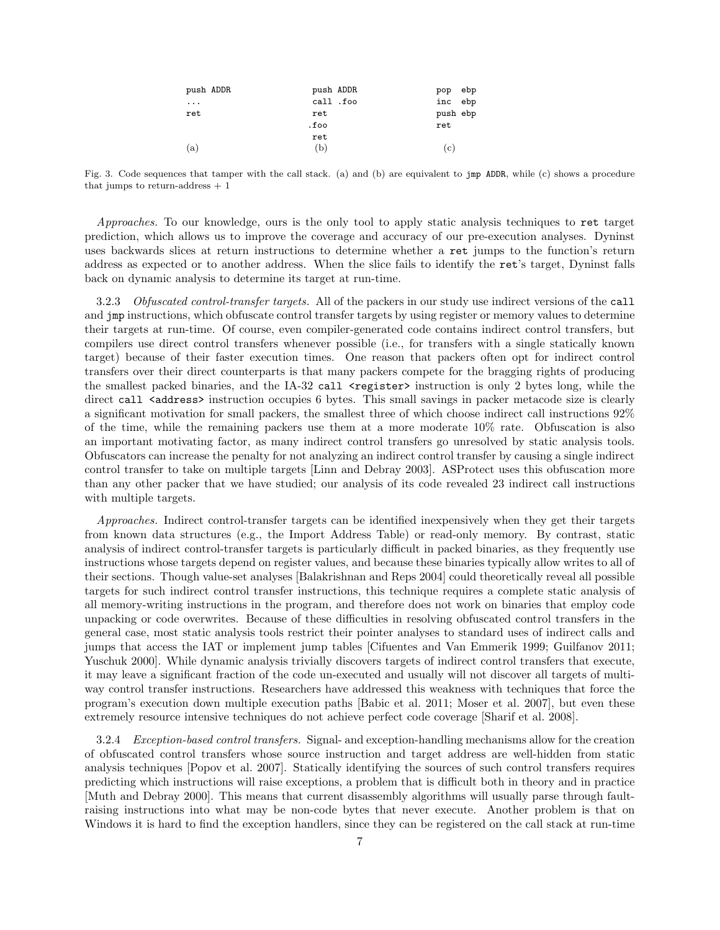| push ADDR | push ADDR | pop ebp  |  |
|-----------|-----------|----------|--|
| $\cdots$  | call .foo | inc ebp  |  |
| ret       | ret       | push ebp |  |
|           | .foo      | ret      |  |
|           | ret       |          |  |
| (a)       | (b)       | (c)      |  |

Fig. 3. Code sequences that tamper with the call stack. (a) and (b) are equivalent to jmp ADDR, while (c) shows a procedure that jumps to return-address  $+1$ 

Approaches. To our knowledge, ours is the only tool to apply static analysis techniques to ret target prediction, which allows us to improve the coverage and accuracy of our pre-execution analyses. Dyninst uses backwards slices at return instructions to determine whether a ret jumps to the function's return address as expected or to another address. When the slice fails to identify the ret's target, Dyninst falls back on dynamic analysis to determine its target at run-time.

3.2.3 Obfuscated control-transfer targets. All of the packers in our study use indirect versions of the call and jmp instructions, which obfuscate control transfer targets by using register or memory values to determine their targets at run-time. Of course, even compiler-generated code contains indirect control transfers, but compilers use direct control transfers whenever possible (i.e., for transfers with a single statically known target) because of their faster execution times. One reason that packers often opt for indirect control transfers over their direct counterparts is that many packers compete for the bragging rights of producing the smallest packed binaries, and the IA-32 call  $\langle$ register> instruction is only 2 bytes long, while the direct call  $\leq$  address> instruction occupies 6 bytes. This small savings in packer metacode size is clearly a significant motivation for small packers, the smallest three of which choose indirect call instructions 92% of the time, while the remaining packers use them at a more moderate 10% rate. Obfuscation is also an important motivating factor, as many indirect control transfers go unresolved by static analysis tools. Obfuscators can increase the penalty for not analyzing an indirect control transfer by causing a single indirect control transfer to take on multiple targets [Linn and Debray 2003]. ASProtect uses this obfuscation more than any other packer that we have studied; our analysis of its code revealed 23 indirect call instructions with multiple targets.

Approaches. Indirect control-transfer targets can be identified inexpensively when they get their targets from known data structures (e.g., the Import Address Table) or read-only memory. By contrast, static analysis of indirect control-transfer targets is particularly difficult in packed binaries, as they frequently use instructions whose targets depend on register values, and because these binaries typically allow writes to all of their sections. Though value-set analyses [Balakrishnan and Reps 2004] could theoretically reveal all possible targets for such indirect control transfer instructions, this technique requires a complete static analysis of all memory-writing instructions in the program, and therefore does not work on binaries that employ code unpacking or code overwrites. Because of these difficulties in resolving obfuscated control transfers in the general case, most static analysis tools restrict their pointer analyses to standard uses of indirect calls and jumps that access the IAT or implement jump tables [Cifuentes and Van Emmerik 1999; Guilfanov 2011; Yuschuk 2000]. While dynamic analysis trivially discovers targets of indirect control transfers that execute, it may leave a significant fraction of the code un-executed and usually will not discover all targets of multiway control transfer instructions. Researchers have addressed this weakness with techniques that force the program's execution down multiple execution paths [Babic et al. 2011; Moser et al. 2007], but even these extremely resource intensive techniques do not achieve perfect code coverage [Sharif et al. 2008].

3.2.4 Exception-based control transfers. Signal- and exception-handling mechanisms allow for the creation of obfuscated control transfers whose source instruction and target address are well-hidden from static analysis techniques [Popov et al. 2007]. Statically identifying the sources of such control transfers requires predicting which instructions will raise exceptions, a problem that is difficult both in theory and in practice [Muth and Debray 2000]. This means that current disassembly algorithms will usually parse through faultraising instructions into what may be non-code bytes that never execute. Another problem is that on Windows it is hard to find the exception handlers, since they can be registered on the call stack at run-time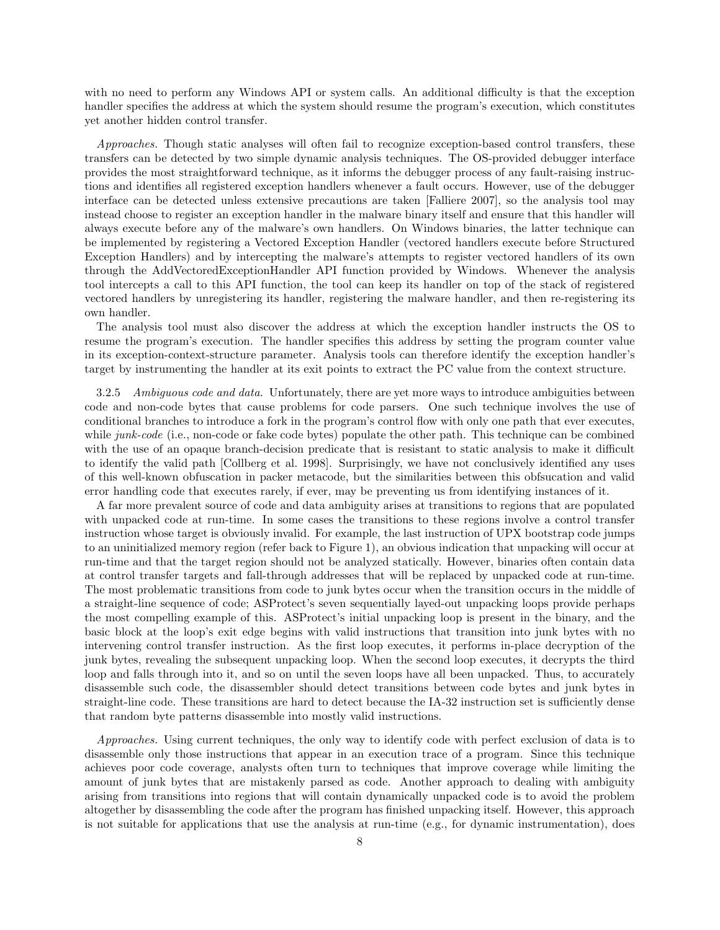with no need to perform any Windows API or system calls. An additional difficulty is that the exception handler specifies the address at which the system should resume the program's execution, which constitutes yet another hidden control transfer.

Approaches. Though static analyses will often fail to recognize exception-based control transfers, these transfers can be detected by two simple dynamic analysis techniques. The OS-provided debugger interface provides the most straightforward technique, as it informs the debugger process of any fault-raising instructions and identifies all registered exception handlers whenever a fault occurs. However, use of the debugger interface can be detected unless extensive precautions are taken [Falliere 2007], so the analysis tool may instead choose to register an exception handler in the malware binary itself and ensure that this handler will always execute before any of the malware's own handlers. On Windows binaries, the latter technique can be implemented by registering a Vectored Exception Handler (vectored handlers execute before Structured Exception Handlers) and by intercepting the malware's attempts to register vectored handlers of its own through the AddVectoredExceptionHandler API function provided by Windows. Whenever the analysis tool intercepts a call to this API function, the tool can keep its handler on top of the stack of registered vectored handlers by unregistering its handler, registering the malware handler, and then re-registering its own handler.

The analysis tool must also discover the address at which the exception handler instructs the OS to resume the program's execution. The handler specifies this address by setting the program counter value in its exception-context-structure parameter. Analysis tools can therefore identify the exception handler's target by instrumenting the handler at its exit points to extract the PC value from the context structure.

3.2.5 Ambiguous code and data. Unfortunately, there are yet more ways to introduce ambiguities between code and non-code bytes that cause problems for code parsers. One such technique involves the use of conditional branches to introduce a fork in the program's control flow with only one path that ever executes, while *junk-code* (i.e., non-code or fake code bytes) populate the other path. This technique can be combined with the use of an opaque branch-decision predicate that is resistant to static analysis to make it difficult to identify the valid path [Collberg et al. 1998]. Surprisingly, we have not conclusively identified any uses of this well-known obfuscation in packer metacode, but the similarities between this obfsucation and valid error handling code that executes rarely, if ever, may be preventing us from identifying instances of it.

A far more prevalent source of code and data ambiguity arises at transitions to regions that are populated with unpacked code at run-time. In some cases the transitions to these regions involve a control transfer instruction whose target is obviously invalid. For example, the last instruction of UPX bootstrap code jumps to an uninitialized memory region (refer back to Figure 1), an obvious indication that unpacking will occur at run-time and that the target region should not be analyzed statically. However, binaries often contain data at control transfer targets and fall-through addresses that will be replaced by unpacked code at run-time. The most problematic transitions from code to junk bytes occur when the transition occurs in the middle of a straight-line sequence of code; ASProtect's seven sequentially layed-out unpacking loops provide perhaps the most compelling example of this. ASProtect's initial unpacking loop is present in the binary, and the basic block at the loop's exit edge begins with valid instructions that transition into junk bytes with no intervening control transfer instruction. As the first loop executes, it performs in-place decryption of the junk bytes, revealing the subsequent unpacking loop. When the second loop executes, it decrypts the third loop and falls through into it, and so on until the seven loops have all been unpacked. Thus, to accurately disassemble such code, the disassembler should detect transitions between code bytes and junk bytes in straight-line code. These transitions are hard to detect because the IA-32 instruction set is sufficiently dense that random byte patterns disassemble into mostly valid instructions.

Approaches. Using current techniques, the only way to identify code with perfect exclusion of data is to disassemble only those instructions that appear in an execution trace of a program. Since this technique achieves poor code coverage, analysts often turn to techniques that improve coverage while limiting the amount of junk bytes that are mistakenly parsed as code. Another approach to dealing with ambiguity arising from transitions into regions that will contain dynamically unpacked code is to avoid the problem altogether by disassembling the code after the program has finished unpacking itself. However, this approach is not suitable for applications that use the analysis at run-time (e.g., for dynamic instrumentation), does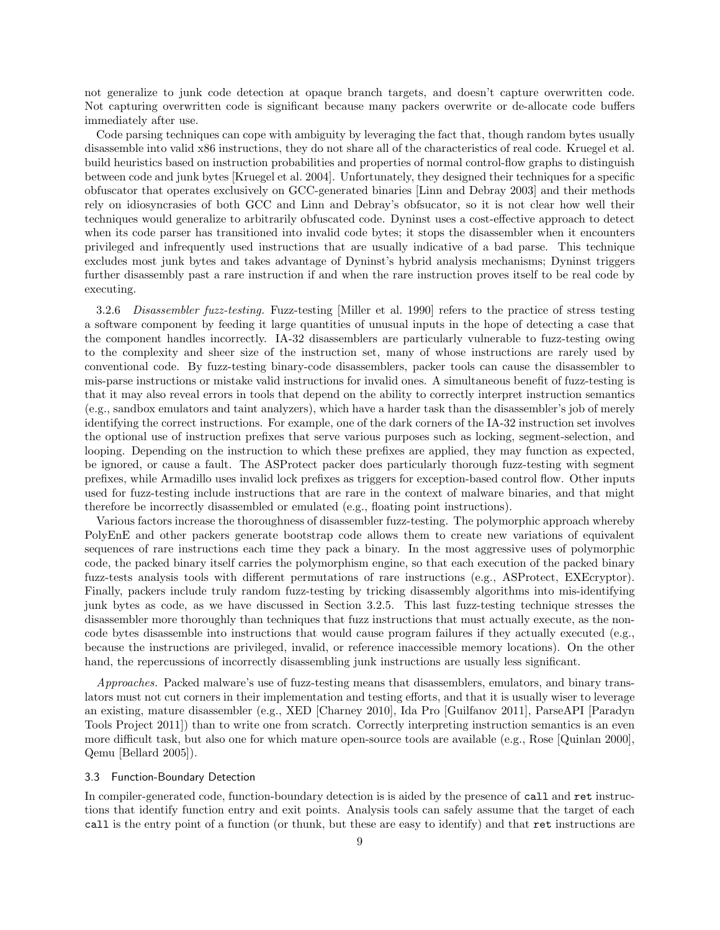not generalize to junk code detection at opaque branch targets, and doesn't capture overwritten code. Not capturing overwritten code is significant because many packers overwrite or de-allocate code buffers immediately after use.

Code parsing techniques can cope with ambiguity by leveraging the fact that, though random bytes usually disassemble into valid x86 instructions, they do not share all of the characteristics of real code. Kruegel et al. build heuristics based on instruction probabilities and properties of normal control-flow graphs to distinguish between code and junk bytes [Kruegel et al. 2004]. Unfortunately, they designed their techniques for a specific obfuscator that operates exclusively on GCC-generated binaries [Linn and Debray 2003] and their methods rely on idiosyncrasies of both GCC and Linn and Debray's obfsucator, so it is not clear how well their techniques would generalize to arbitrarily obfuscated code. Dyninst uses a cost-effective approach to detect when its code parser has transitioned into invalid code bytes; it stops the disassembler when it encounters privileged and infrequently used instructions that are usually indicative of a bad parse. This technique excludes most junk bytes and takes advantage of Dyninst's hybrid analysis mechanisms; Dyninst triggers further disassembly past a rare instruction if and when the rare instruction proves itself to be real code by executing.

3.2.6 Disassembler fuzz-testing. Fuzz-testing [Miller et al. 1990] refers to the practice of stress testing a software component by feeding it large quantities of unusual inputs in the hope of detecting a case that the component handles incorrectly. IA-32 disassemblers are particularly vulnerable to fuzz-testing owing to the complexity and sheer size of the instruction set, many of whose instructions are rarely used by conventional code. By fuzz-testing binary-code disassemblers, packer tools can cause the disassembler to mis-parse instructions or mistake valid instructions for invalid ones. A simultaneous benefit of fuzz-testing is that it may also reveal errors in tools that depend on the ability to correctly interpret instruction semantics (e.g., sandbox emulators and taint analyzers), which have a harder task than the disassembler's job of merely identifying the correct instructions. For example, one of the dark corners of the IA-32 instruction set involves the optional use of instruction prefixes that serve various purposes such as locking, segment-selection, and looping. Depending on the instruction to which these prefixes are applied, they may function as expected, be ignored, or cause a fault. The ASProtect packer does particularly thorough fuzz-testing with segment prefixes, while Armadillo uses invalid lock prefixes as triggers for exception-based control flow. Other inputs used for fuzz-testing include instructions that are rare in the context of malware binaries, and that might therefore be incorrectly disassembled or emulated (e.g., floating point instructions).

Various factors increase the thoroughness of disassembler fuzz-testing. The polymorphic approach whereby PolyEnE and other packers generate bootstrap code allows them to create new variations of equivalent sequences of rare instructions each time they pack a binary. In the most aggressive uses of polymorphic code, the packed binary itself carries the polymorphism engine, so that each execution of the packed binary fuzz-tests analysis tools with different permutations of rare instructions (e.g., ASProtect, EXEcryptor). Finally, packers include truly random fuzz-testing by tricking disassembly algorithms into mis-identifying junk bytes as code, as we have discussed in Section 3.2.5. This last fuzz-testing technique stresses the disassembler more thoroughly than techniques that fuzz instructions that must actually execute, as the noncode bytes disassemble into instructions that would cause program failures if they actually executed (e.g., because the instructions are privileged, invalid, or reference inaccessible memory locations). On the other hand, the repercussions of incorrectly disassembling junk instructions are usually less significant.

Approaches. Packed malware's use of fuzz-testing means that disassemblers, emulators, and binary translators must not cut corners in their implementation and testing efforts, and that it is usually wiser to leverage an existing, mature disassembler (e.g., XED [Charney 2010], Ida Pro [Guilfanov 2011], ParseAPI [Paradyn Tools Project 2011]) than to write one from scratch. Correctly interpreting instruction semantics is an even more difficult task, but also one for which mature open-source tools are available (e.g., Rose [Quinlan 2000], Qemu [Bellard 2005]).

#### 3.3 Function-Boundary Detection

In compiler-generated code, function-boundary detection is is aided by the presence of call and ret instructions that identify function entry and exit points. Analysis tools can safely assume that the target of each call is the entry point of a function (or thunk, but these are easy to identify) and that ret instructions are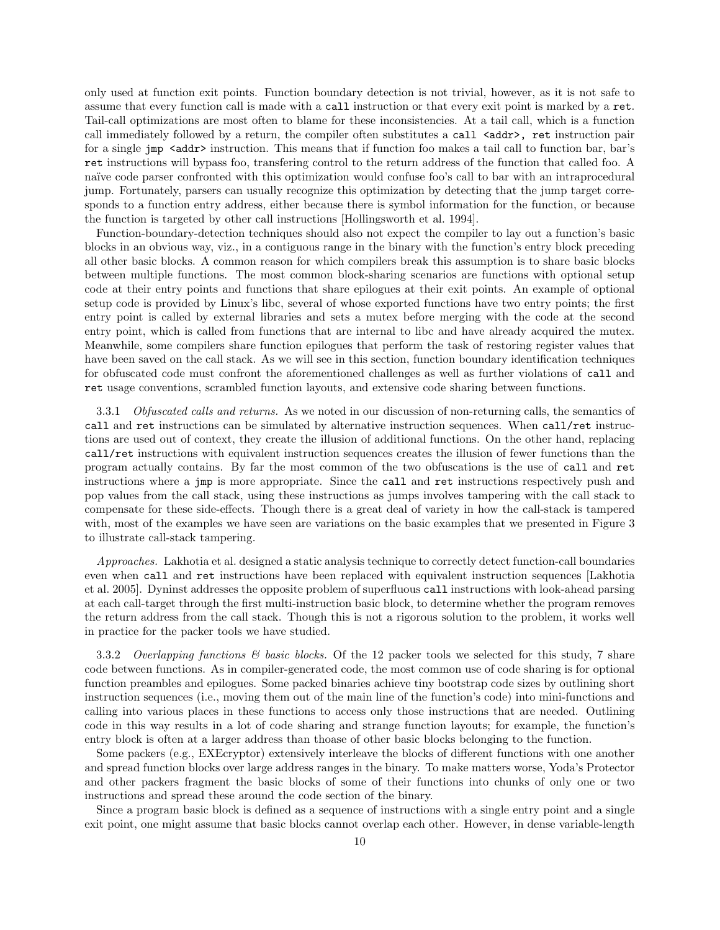only used at function exit points. Function boundary detection is not trivial, however, as it is not safe to assume that every function call is made with a call instruction or that every exit point is marked by a ret. Tail-call optimizations are most often to blame for these inconsistencies. At a tail call, which is a function call immediately followed by a return, the compiler often substitutes a call <addr>, ret instruction pair for a single jmp <addr> instruction. This means that if function foo makes a tail call to function bar, bar's ret instructions will bypass foo, transfering control to the return address of the function that called foo. A naïve code parser confronted with this optimization would confuse foo's call to bar with an intraprocedural jump. Fortunately, parsers can usually recognize this optimization by detecting that the jump target corresponds to a function entry address, either because there is symbol information for the function, or because the function is targeted by other call instructions [Hollingsworth et al. 1994].

Function-boundary-detection techniques should also not expect the compiler to lay out a function's basic blocks in an obvious way, viz., in a contiguous range in the binary with the function's entry block preceding all other basic blocks. A common reason for which compilers break this assumption is to share basic blocks between multiple functions. The most common block-sharing scenarios are functions with optional setup code at their entry points and functions that share epilogues at their exit points. An example of optional setup code is provided by Linux's libc, several of whose exported functions have two entry points; the first entry point is called by external libraries and sets a mutex before merging with the code at the second entry point, which is called from functions that are internal to libc and have already acquired the mutex. Meanwhile, some compilers share function epilogues that perform the task of restoring register values that have been saved on the call stack. As we will see in this section, function boundary identification techniques for obfuscated code must confront the aforementioned challenges as well as further violations of call and ret usage conventions, scrambled function layouts, and extensive code sharing between functions.

3.3.1 Obfuscated calls and returns. As we noted in our discussion of non-returning calls, the semantics of call and ret instructions can be simulated by alternative instruction sequences. When call/ret instructions are used out of context, they create the illusion of additional functions. On the other hand, replacing call/ret instructions with equivalent instruction sequences creates the illusion of fewer functions than the program actually contains. By far the most common of the two obfuscations is the use of call and ret instructions where a jmp is more appropriate. Since the call and ret instructions respectively push and pop values from the call stack, using these instructions as jumps involves tampering with the call stack to compensate for these side-effects. Though there is a great deal of variety in how the call-stack is tampered with, most of the examples we have seen are variations on the basic examples that we presented in Figure 3 to illustrate call-stack tampering.

Approaches. Lakhotia et al. designed a static analysis technique to correctly detect function-call boundaries even when call and ret instructions have been replaced with equivalent instruction sequences [Lakhotia et al. 2005]. Dyninst addresses the opposite problem of superfluous call instructions with look-ahead parsing at each call-target through the first multi-instruction basic block, to determine whether the program removes the return address from the call stack. Though this is not a rigorous solution to the problem, it works well in practice for the packer tools we have studied.

3.3.2 Overlapping functions  $\mathcal B$  basic blocks. Of the 12 packer tools we selected for this study, 7 share code between functions. As in compiler-generated code, the most common use of code sharing is for optional function preambles and epilogues. Some packed binaries achieve tiny bootstrap code sizes by outlining short instruction sequences (i.e., moving them out of the main line of the function's code) into mini-functions and calling into various places in these functions to access only those instructions that are needed. Outlining code in this way results in a lot of code sharing and strange function layouts; for example, the function's entry block is often at a larger address than thoase of other basic blocks belonging to the function.

Some packers (e.g., EXEcryptor) extensively interleave the blocks of different functions with one another and spread function blocks over large address ranges in the binary. To make matters worse, Yoda's Protector and other packers fragment the basic blocks of some of their functions into chunks of only one or two instructions and spread these around the code section of the binary.

Since a program basic block is defined as a sequence of instructions with a single entry point and a single exit point, one might assume that basic blocks cannot overlap each other. However, in dense variable-length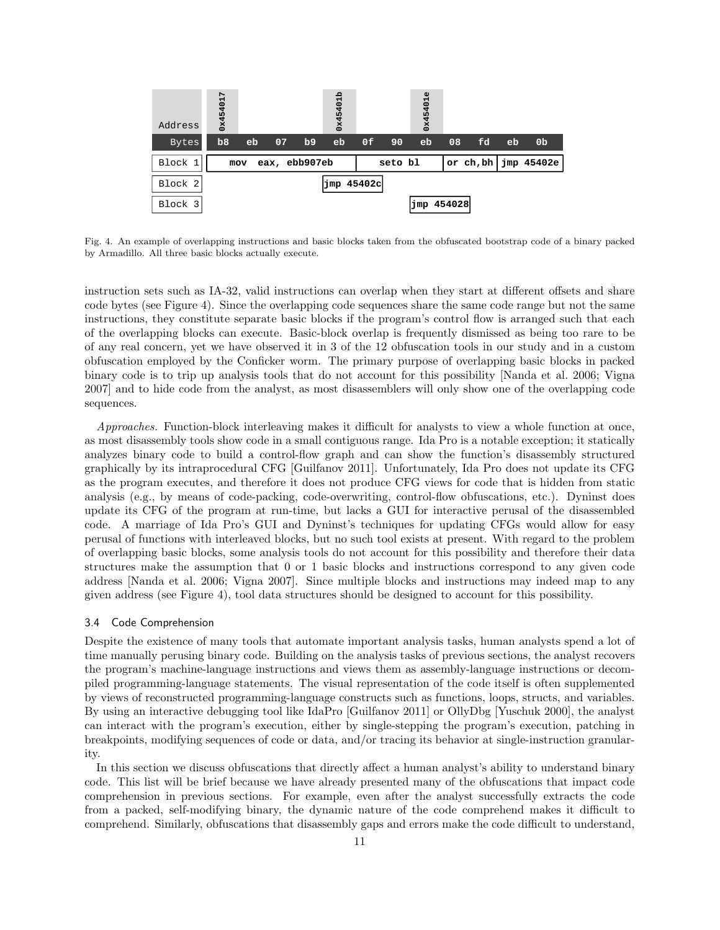| Address      | $\overline{ }$<br>0x45401 |                      |    |    | 0x45401b |                |                                    | $\mathbf{v}$<br>0x45401 |    |    |    |                |  |
|--------------|---------------------------|----------------------|----|----|----------|----------------|------------------------------------|-------------------------|----|----|----|----------------|--|
| <b>Bytes</b> | b8                        | eb                   | 07 | b9 | eb       | 0 <sub>f</sub> | 90                                 | eb                      | 08 | fd | eb | 0 <sub>b</sub> |  |
| Block 1      |                           | eax, ebb907eb<br>mov |    |    |          |                | or ch, bh<br>seto bl<br>jmp 45402e |                         |    |    |    |                |  |
| Block 2      | jmp 45402c                |                      |    |    |          |                |                                    |                         |    |    |    |                |  |
| Block 3      |                           | jmp 454028           |    |    |          |                |                                    |                         |    |    |    |                |  |

Fig. 4. An example of overlapping instructions and basic blocks taken from the obfuscated bootstrap code of a binary packed by Armadillo. All three basic blocks actually execute.

instruction sets such as IA-32, valid instructions can overlap when they start at different offsets and share code bytes (see Figure 4). Since the overlapping code sequences share the same code range but not the same instructions, they constitute separate basic blocks if the program's control flow is arranged such that each of the overlapping blocks can execute. Basic-block overlap is frequently dismissed as being too rare to be of any real concern, yet we have observed it in 3 of the 12 obfuscation tools in our study and in a custom obfuscation employed by the Conficker worm. The primary purpose of overlapping basic blocks in packed binary code is to trip up analysis tools that do not account for this possibility [Nanda et al. 2006; Vigna 2007] and to hide code from the analyst, as most disassemblers will only show one of the overlapping code sequences.

Approaches. Function-block interleaving makes it difficult for analysts to view a whole function at once, as most disassembly tools show code in a small contiguous range. Ida Pro is a notable exception; it statically analyzes binary code to build a control-flow graph and can show the function's disassembly structured graphically by its intraprocedural CFG [Guilfanov 2011]. Unfortunately, Ida Pro does not update its CFG as the program executes, and therefore it does not produce CFG views for code that is hidden from static analysis (e.g., by means of code-packing, code-overwriting, control-flow obfuscations, etc.). Dyninst does update its CFG of the program at run-time, but lacks a GUI for interactive perusal of the disassembled code. A marriage of Ida Pro's GUI and Dyninst's techniques for updating CFGs would allow for easy perusal of functions with interleaved blocks, but no such tool exists at present. With regard to the problem of overlapping basic blocks, some analysis tools do not account for this possibility and therefore their data structures make the assumption that 0 or 1 basic blocks and instructions correspond to any given code address [Nanda et al. 2006; Vigna 2007]. Since multiple blocks and instructions may indeed map to any given address (see Figure 4), tool data structures should be designed to account for this possibility.

#### 3.4 Code Comprehension

Despite the existence of many tools that automate important analysis tasks, human analysts spend a lot of time manually perusing binary code. Building on the analysis tasks of previous sections, the analyst recovers the program's machine-language instructions and views them as assembly-language instructions or decompiled programming-language statements. The visual representation of the code itself is often supplemented by views of reconstructed programming-language constructs such as functions, loops, structs, and variables. By using an interactive debugging tool like IdaPro [Guilfanov 2011] or OllyDbg [Yuschuk 2000], the analyst can interact with the program's execution, either by single-stepping the program's execution, patching in breakpoints, modifying sequences of code or data, and/or tracing its behavior at single-instruction granularity.

In this section we discuss obfuscations that directly affect a human analyst's ability to understand binary code. This list will be brief because we have already presented many of the obfuscations that impact code comprehension in previous sections. For example, even after the analyst successfully extracts the code from a packed, self-modifying binary, the dynamic nature of the code comprehend makes it difficult to comprehend. Similarly, obfuscations that disassembly gaps and errors make the code difficult to understand,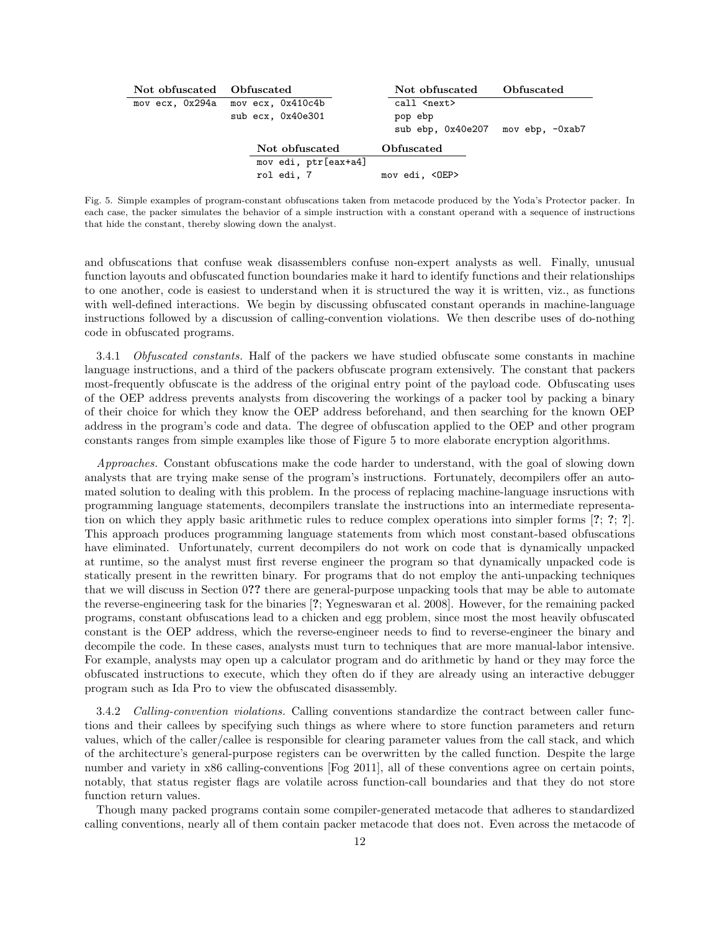| Not obfuscated Obfuscated |                                            | Not obfuscated                                      | Obfuscated      |  |  |  |
|---------------------------|--------------------------------------------|-----------------------------------------------------|-----------------|--|--|--|
| mov ecx, 0x294a           | mov ecx, 0x410c4b<br>$sub$ ecx, $0x40e301$ | $call$ $<$ next $>$<br>pop ebp<br>sub ebp, 0x40e207 | mov ebp, -0xab7 |  |  |  |
|                           | Not obfuscated                             | Obfuscated                                          |                 |  |  |  |
|                           | mov edi, ptr[eax+a4]<br>rol edi, 7         | mov edi, <oep></oep>                                |                 |  |  |  |

Fig. 5. Simple examples of program-constant obfuscations taken from metacode produced by the Yoda's Protector packer. In each case, the packer simulates the behavior of a simple instruction with a constant operand with a sequence of instructions that hide the constant, thereby slowing down the analyst.

and obfuscations that confuse weak disassemblers confuse non-expert analysts as well. Finally, unusual function layouts and obfuscated function boundaries make it hard to identify functions and their relationships to one another, code is easiest to understand when it is structured the way it is written, viz., as functions with well-defined interactions. We begin by discussing obfuscated constant operands in machine-language instructions followed by a discussion of calling-convention violations. We then describe uses of do-nothing code in obfuscated programs.

3.4.1 *Obfuscated constants*. Half of the packers we have studied obfuscate some constants in machine language instructions, and a third of the packers obfuscate program extensively. The constant that packers most-frequently obfuscate is the address of the original entry point of the payload code. Obfuscating uses of the OEP address prevents analysts from discovering the workings of a packer tool by packing a binary of their choice for which they know the OEP address beforehand, and then searching for the known OEP address in the program's code and data. The degree of obfuscation applied to the OEP and other program constants ranges from simple examples like those of Figure 5 to more elaborate encryption algorithms.

Approaches. Constant obfuscations make the code harder to understand, with the goal of slowing down analysts that are trying make sense of the program's instructions. Fortunately, decompilers offer an automated solution to dealing with this problem. In the process of replacing machine-language insructions with programming language statements, decompilers translate the instructions into an intermediate representation on which they apply basic arithmetic rules to reduce complex operations into simpler forms [?; ?; ?]. This approach produces programming language statements from which most constant-based obfuscations have eliminated. Unfortunately, current decompilers do not work on code that is dynamically unpacked at runtime, so the analyst must first reverse engineer the program so that dynamically unpacked code is statically present in the rewritten binary. For programs that do not employ the anti-unpacking techniques that we will discuss in Section 0?? there are general-purpose unpacking tools that may be able to automate the reverse-engineering task for the binaries [?; Yegneswaran et al. 2008]. However, for the remaining packed programs, constant obfuscations lead to a chicken and egg problem, since most the most heavily obfuscated constant is the OEP address, which the reverse-engineer needs to find to reverse-engineer the binary and decompile the code. In these cases, analysts must turn to techniques that are more manual-labor intensive. For example, analysts may open up a calculator program and do arithmetic by hand or they may force the obfuscated instructions to execute, which they often do if they are already using an interactive debugger program such as Ida Pro to view the obfuscated disassembly.

3.4.2 Calling-convention violations. Calling conventions standardize the contract between caller functions and their callees by specifying such things as where where to store function parameters and return values, which of the caller/callee is responsible for clearing parameter values from the call stack, and which of the architecture's general-purpose registers can be overwritten by the called function. Despite the large number and variety in x86 calling-conventions [Fog 2011], all of these conventions agree on certain points, notably, that status register flags are volatile across function-call boundaries and that they do not store function return values.

Though many packed programs contain some compiler-generated metacode that adheres to standardized calling conventions, nearly all of them contain packer metacode that does not. Even across the metacode of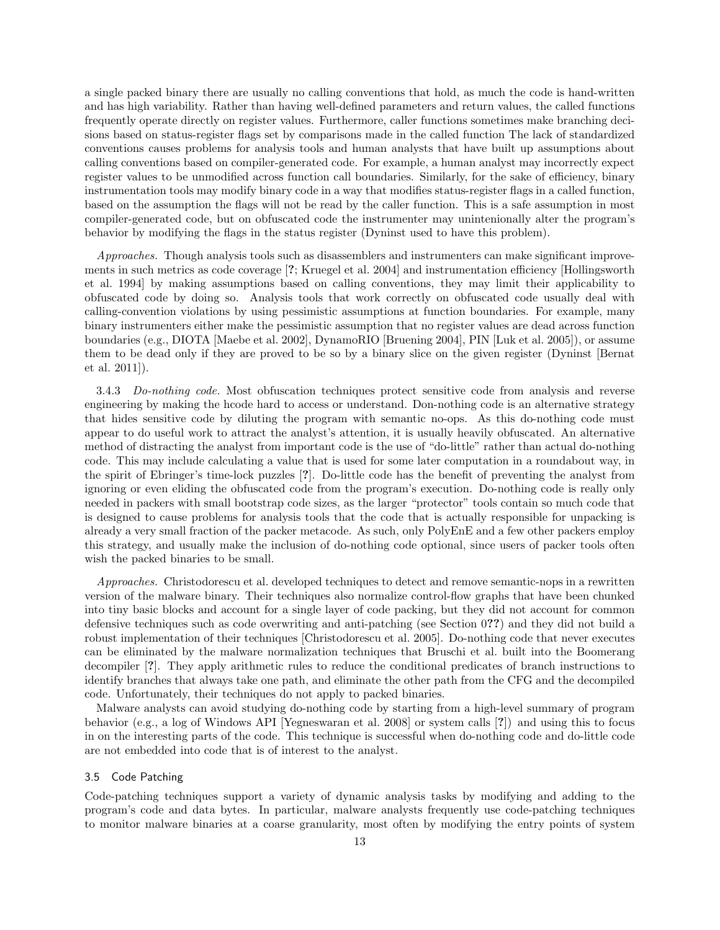a single packed binary there are usually no calling conventions that hold, as much the code is hand-written and has high variability. Rather than having well-defined parameters and return values, the called functions frequently operate directly on register values. Furthermore, caller functions sometimes make branching decisions based on status-register flags set by comparisons made in the called function The lack of standardized conventions causes problems for analysis tools and human analysts that have built up assumptions about calling conventions based on compiler-generated code. For example, a human analyst may incorrectly expect register values to be unmodified across function call boundaries. Similarly, for the sake of efficiency, binary instrumentation tools may modify binary code in a way that modifies status-register flags in a called function, based on the assumption the flags will not be read by the caller function. This is a safe assumption in most compiler-generated code, but on obfuscated code the instrumenter may unintenionally alter the program's behavior by modifying the flags in the status register (Dyninst used to have this problem).

Approaches. Though analysis tools such as disassemblers and instrumenters can make significant improvements in such metrics as code coverage [?; Kruegel et al. 2004] and instrumentation efficiency [Hollingsworth et al. 1994] by making assumptions based on calling conventions, they may limit their applicability to obfuscated code by doing so. Analysis tools that work correctly on obfuscated code usually deal with calling-convention violations by using pessimistic assumptions at function boundaries. For example, many binary instrumenters either make the pessimistic assumption that no register values are dead across function boundaries (e.g., DIOTA [Maebe et al. 2002], DynamoRIO [Bruening 2004], PIN [Luk et al. 2005]), or assume them to be dead only if they are proved to be so by a binary slice on the given register (Dyninst [Bernat et al. 2011]).

3.4.3 Do-nothing code. Most obfuscation techniques protect sensitive code from analysis and reverse engineering by making the hcode hard to access or understand. Don-nothing code is an alternative strategy that hides sensitive code by diluting the program with semantic no-ops. As this do-nothing code must appear to do useful work to attract the analyst's attention, it is usually heavily obfuscated. An alternative method of distracting the analyst from important code is the use of "do-little" rather than actual do-nothing code. This may include calculating a value that is used for some later computation in a roundabout way, in the spirit of Ebringer's time-lock puzzles [?]. Do-little code has the benefit of preventing the analyst from ignoring or even eliding the obfuscated code from the program's execution. Do-nothing code is really only needed in packers with small bootstrap code sizes, as the larger "protector" tools contain so much code that is designed to cause problems for analysis tools that the code that is actually responsible for unpacking is already a very small fraction of the packer metacode. As such, only PolyEnE and a few other packers employ this strategy, and usually make the inclusion of do-nothing code optional, since users of packer tools often wish the packed binaries to be small.

Approaches. Christodorescu et al. developed techniques to detect and remove semantic-nops in a rewritten version of the malware binary. Their techniques also normalize control-flow graphs that have been chunked into tiny basic blocks and account for a single layer of code packing, but they did not account for common defensive techniques such as code overwriting and anti-patching (see Section 0??) and they did not build a robust implementation of their techniques [Christodorescu et al. 2005]. Do-nothing code that never executes can be eliminated by the malware normalization techniques that Bruschi et al. built into the Boomerang decompiler [?]. They apply arithmetic rules to reduce the conditional predicates of branch instructions to identify branches that always take one path, and eliminate the other path from the CFG and the decompiled code. Unfortunately, their techniques do not apply to packed binaries.

Malware analysts can avoid studying do-nothing code by starting from a high-level summary of program behavior (e.g., a log of Windows API [Yegneswaran et al. 2008] or system calls [?]) and using this to focus in on the interesting parts of the code. This technique is successful when do-nothing code and do-little code are not embedded into code that is of interest to the analyst.

#### 3.5 Code Patching

Code-patching techniques support a variety of dynamic analysis tasks by modifying and adding to the program's code and data bytes. In particular, malware analysts frequently use code-patching techniques to monitor malware binaries at a coarse granularity, most often by modifying the entry points of system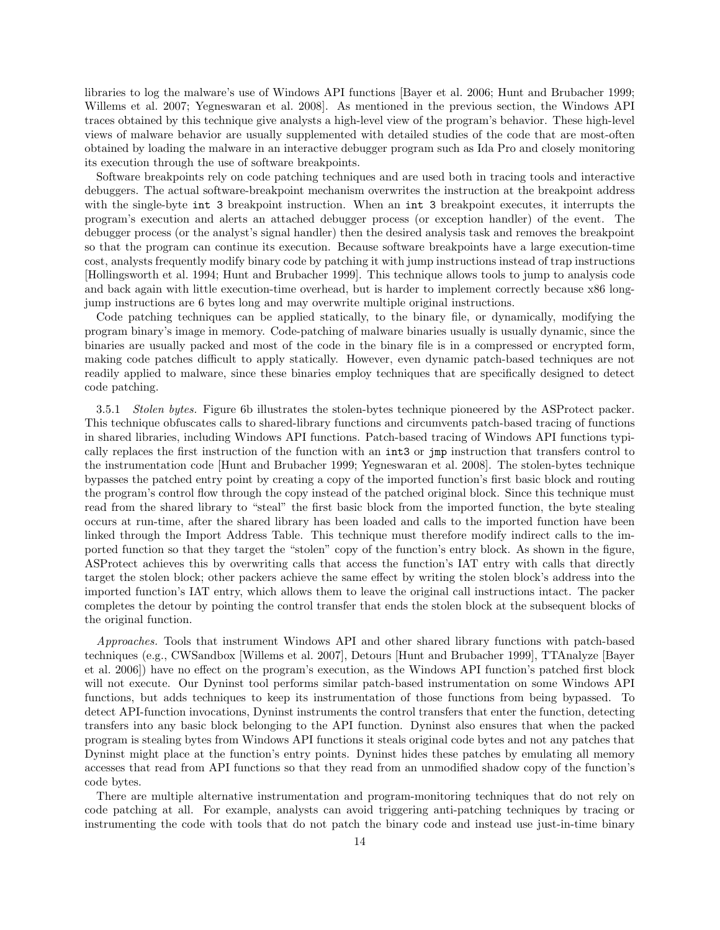libraries to log the malware's use of Windows API functions [Bayer et al. 2006; Hunt and Brubacher 1999; Willems et al. 2007; Yegneswaran et al. 2008]. As mentioned in the previous section, the Windows API traces obtained by this technique give analysts a high-level view of the program's behavior. These high-level views of malware behavior are usually supplemented with detailed studies of the code that are most-often obtained by loading the malware in an interactive debugger program such as Ida Pro and closely monitoring its execution through the use of software breakpoints.

Software breakpoints rely on code patching techniques and are used both in tracing tools and interactive debuggers. The actual software-breakpoint mechanism overwrites the instruction at the breakpoint address with the single-byte int 3 breakpoint instruction. When an int 3 breakpoint executes, it interrupts the program's execution and alerts an attached debugger process (or exception handler) of the event. The debugger process (or the analyst's signal handler) then the desired analysis task and removes the breakpoint so that the program can continue its execution. Because software breakpoints have a large execution-time cost, analysts frequently modify binary code by patching it with jump instructions instead of trap instructions [Hollingsworth et al. 1994; Hunt and Brubacher 1999]. This technique allows tools to jump to analysis code and back again with little execution-time overhead, but is harder to implement correctly because x86 longjump instructions are 6 bytes long and may overwrite multiple original instructions.

Code patching techniques can be applied statically, to the binary file, or dynamically, modifying the program binary's image in memory. Code-patching of malware binaries usually is usually dynamic, since the binaries are usually packed and most of the code in the binary file is in a compressed or encrypted form, making code patches difficult to apply statically. However, even dynamic patch-based techniques are not readily applied to malware, since these binaries employ techniques that are specifically designed to detect code patching.

3.5.1 Stolen bytes. Figure 6b illustrates the stolen-bytes technique pioneered by the ASP rotect packer. This technique obfuscates calls to shared-library functions and circumvents patch-based tracing of functions in shared libraries, including Windows API functions. Patch-based tracing of Windows API functions typically replaces the first instruction of the function with an int3 or jmp instruction that transfers control to the instrumentation code [Hunt and Brubacher 1999; Yegneswaran et al. 2008]. The stolen-bytes technique bypasses the patched entry point by creating a copy of the imported function's first basic block and routing the program's control flow through the copy instead of the patched original block. Since this technique must read from the shared library to "steal" the first basic block from the imported function, the byte stealing occurs at run-time, after the shared library has been loaded and calls to the imported function have been linked through the Import Address Table. This technique must therefore modify indirect calls to the imported function so that they target the "stolen" copy of the function's entry block. As shown in the figure, ASProtect achieves this by overwriting calls that access the function's IAT entry with calls that directly target the stolen block; other packers achieve the same effect by writing the stolen block's address into the imported function's IAT entry, which allows them to leave the original call instructions intact. The packer completes the detour by pointing the control transfer that ends the stolen block at the subsequent blocks of the original function.

Approaches. Tools that instrument Windows API and other shared library functions with patch-based techniques (e.g., CWSandbox [Willems et al. 2007], Detours [Hunt and Brubacher 1999], TTAnalyze [Bayer et al. 2006]) have no effect on the program's execution, as the Windows API function's patched first block will not execute. Our Dyninst tool performs similar patch-based instrumentation on some Windows API functions, but adds techniques to keep its instrumentation of those functions from being bypassed. To detect API-function invocations, Dyninst instruments the control transfers that enter the function, detecting transfers into any basic block belonging to the API function. Dyninst also ensures that when the packed program is stealing bytes from Windows API functions it steals original code bytes and not any patches that Dyninst might place at the function's entry points. Dyninst hides these patches by emulating all memory accesses that read from API functions so that they read from an unmodified shadow copy of the function's code bytes.

There are multiple alternative instrumentation and program-monitoring techniques that do not rely on code patching at all. For example, analysts can avoid triggering anti-patching techniques by tracing or instrumenting the code with tools that do not patch the binary code and instead use just-in-time binary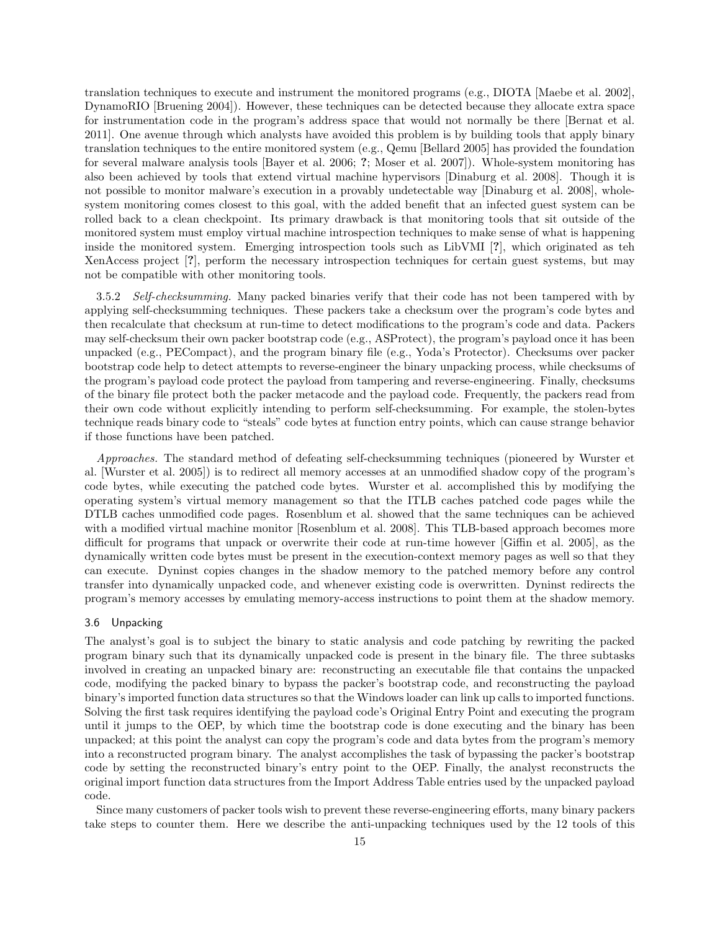translation techniques to execute and instrument the monitored programs (e.g., DIOTA [Maebe et al. 2002], DynamoRIO [Bruening 2004]). However, these techniques can be detected because they allocate extra space for instrumentation code in the program's address space that would not normally be there [Bernat et al. 2011]. One avenue through which analysts have avoided this problem is by building tools that apply binary translation techniques to the entire monitored system (e.g., Qemu [Bellard 2005] has provided the foundation for several malware analysis tools [Bayer et al. 2006; ?; Moser et al. 2007]). Whole-system monitoring has also been achieved by tools that extend virtual machine hypervisors [Dinaburg et al. 2008]. Though it is not possible to monitor malware's execution in a provably undetectable way [Dinaburg et al. 2008], wholesystem monitoring comes closest to this goal, with the added benefit that an infected guest system can be rolled back to a clean checkpoint. Its primary drawback is that monitoring tools that sit outside of the monitored system must employ virtual machine introspection techniques to make sense of what is happening inside the monitored system. Emerging introspection tools such as LibVMI [?], which originated as teh XenAccess project [?], perform the necessary introspection techniques for certain guest systems, but may not be compatible with other monitoring tools.

3.5.2 Self-checksumming. Many packed binaries verify that their code has not been tampered with by applying self-checksumming techniques. These packers take a checksum over the program's code bytes and then recalculate that checksum at run-time to detect modifications to the program's code and data. Packers may self-checksum their own packer bootstrap code (e.g., ASProtect), the program's payload once it has been unpacked (e.g., PECompact), and the program binary file (e.g., Yoda's Protector). Checksums over packer bootstrap code help to detect attempts to reverse-engineer the binary unpacking process, while checksums of the program's payload code protect the payload from tampering and reverse-engineering. Finally, checksums of the binary file protect both the packer metacode and the payload code. Frequently, the packers read from their own code without explicitly intending to perform self-checksumming. For example, the stolen-bytes technique reads binary code to "steals" code bytes at function entry points, which can cause strange behavior if those functions have been patched.

Approaches. The standard method of defeating self-checksumming techniques (pioneered by Wurster et al. [Wurster et al. 2005]) is to redirect all memory accesses at an unmodified shadow copy of the program's code bytes, while executing the patched code bytes. Wurster et al. accomplished this by modifying the operating system's virtual memory management so that the ITLB caches patched code pages while the DTLB caches unmodified code pages. Rosenblum et al. showed that the same techniques can be achieved with a modified virtual machine monitor [Rosenblum et al. 2008]. This TLB-based approach becomes more difficult for programs that unpack or overwrite their code at run-time however [Giffin et al. 2005], as the dynamically written code bytes must be present in the execution-context memory pages as well so that they can execute. Dyninst copies changes in the shadow memory to the patched memory before any control transfer into dynamically unpacked code, and whenever existing code is overwritten. Dyninst redirects the program's memory accesses by emulating memory-access instructions to point them at the shadow memory.

# 3.6 Unpacking

The analyst's goal is to subject the binary to static analysis and code patching by rewriting the packed program binary such that its dynamically unpacked code is present in the binary file. The three subtasks involved in creating an unpacked binary are: reconstructing an executable file that contains the unpacked code, modifying the packed binary to bypass the packer's bootstrap code, and reconstructing the payload binary's imported function data structures so that the Windows loader can link up calls to imported functions. Solving the first task requires identifying the payload code's Original Entry Point and executing the program until it jumps to the OEP, by which time the bootstrap code is done executing and the binary has been unpacked; at this point the analyst can copy the program's code and data bytes from the program's memory into a reconstructed program binary. The analyst accomplishes the task of bypassing the packer's bootstrap code by setting the reconstructed binary's entry point to the OEP. Finally, the analyst reconstructs the original import function data structures from the Import Address Table entries used by the unpacked payload code.

Since many customers of packer tools wish to prevent these reverse-engineering efforts, many binary packers take steps to counter them. Here we describe the anti-unpacking techniques used by the 12 tools of this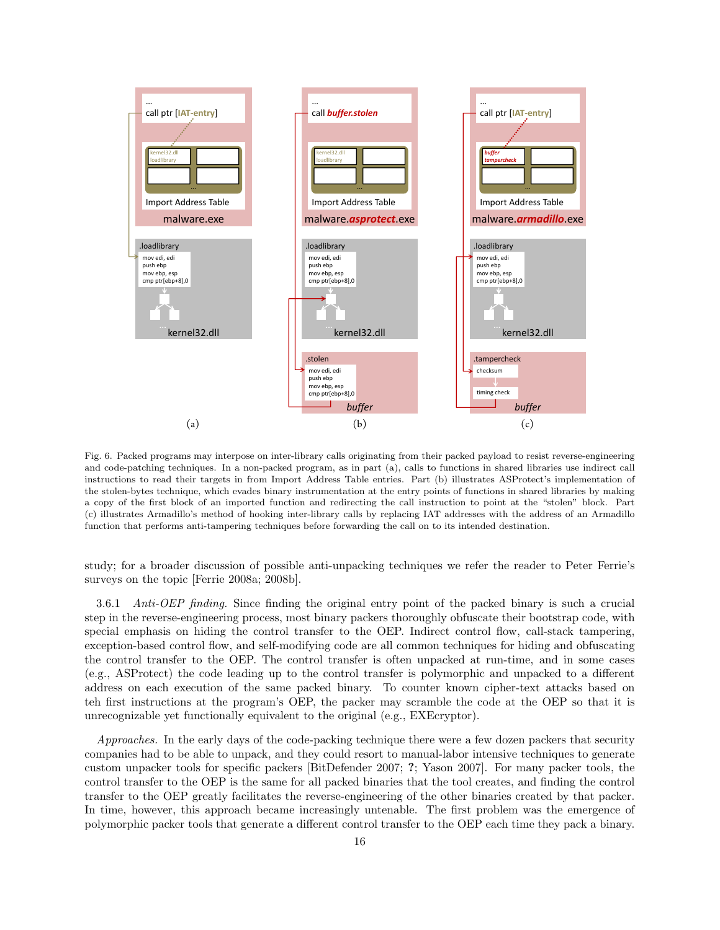![](_page_15_Figure_0.jpeg)

Fig. 6. Packed programs may interpose on inter-library calls originating from their packed payload to resist reverse-engineering and code-patching techniques. In a non-packed program, as in part (a), calls to functions in shared libraries use indirect call instructions to read their targets in from Import Address Table entries. Part (b) illustrates ASProtect's implementation of the stolen-bytes technique, which evades binary instrumentation at the entry points of functions in shared libraries by making a copy of the first block of an imported function and redirecting the call instruction to point at the "stolen" block. Part (c) illustrates Armadillo's method of hooking inter-library calls by replacing IAT addresses with the address of an Armadillo function that performs anti-tampering techniques before forwarding the call on to its intended destination.

study; for a broader discussion of possible anti-unpacking techniques we refer the reader to Peter Ferrie's surveys on the topic [Ferrie 2008a; 2008b].

3.6.1 Anti-OEP finding. Since finding the original entry point of the packed binary is such a crucial step in the reverse-engineering process, most binary packers thoroughly obfuscate their bootstrap code, with special emphasis on hiding the control transfer to the OEP. Indirect control flow, call-stack tampering, exception-based control flow, and self-modifying code are all common techniques for hiding and obfuscating the control transfer to the OEP. The control transfer is often unpacked at run-time, and in some cases (e.g., ASProtect) the code leading up to the control transfer is polymorphic and unpacked to a different address on each execution of the same packed binary. To counter known cipher-text attacks based on teh first instructions at the program's OEP, the packer may scramble the code at the OEP so that it is unrecognizable yet functionally equivalent to the original (e.g., EXEcryptor).

Approaches. In the early days of the code-packing technique there were a few dozen packers that security companies had to be able to unpack, and they could resort to manual-labor intensive techniques to generate custom unpacker tools for specific packers [BitDefender 2007; ?; Yason 2007]. For many packer tools, the control transfer to the OEP is the same for all packed binaries that the tool creates, and finding the control transfer to the OEP greatly facilitates the reverse-engineering of the other binaries created by that packer. In time, however, this approach became increasingly untenable. The first problem was the emergence of polymorphic packer tools that generate a different control transfer to the OEP each time they pack a binary.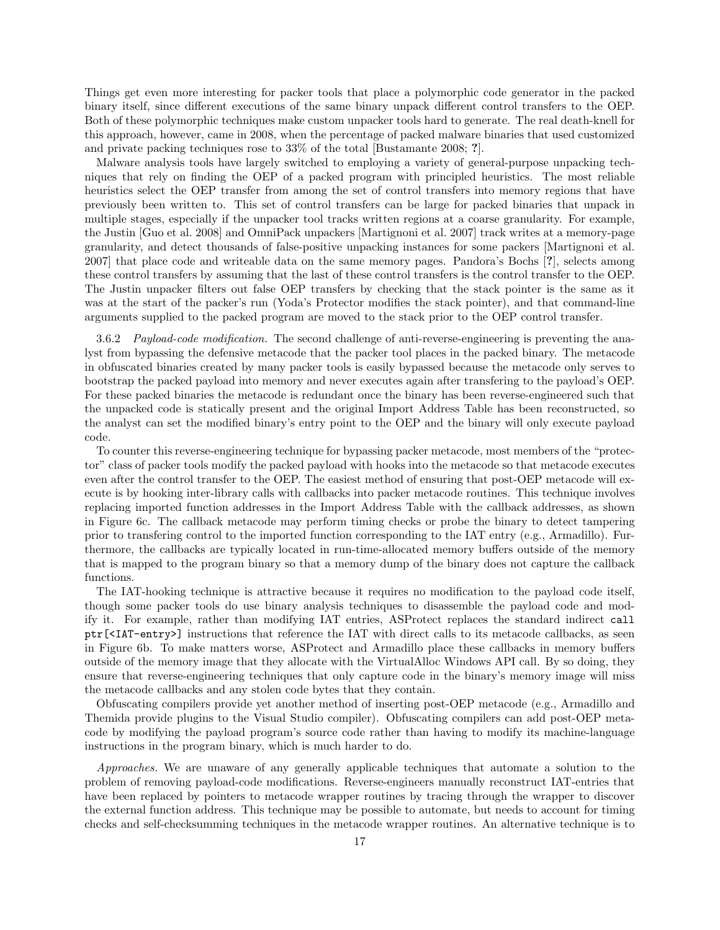Things get even more interesting for packer tools that place a polymorphic code generator in the packed binary itself, since different executions of the same binary unpack different control transfers to the OEP. Both of these polymorphic techniques make custom unpacker tools hard to generate. The real death-knell for this approach, however, came in 2008, when the percentage of packed malware binaries that used customized and private packing techniques rose to 33% of the total [Bustamante 2008; ?].

Malware analysis tools have largely switched to employing a variety of general-purpose unpacking techniques that rely on finding the OEP of a packed program with principled heuristics. The most reliable heuristics select the OEP transfer from among the set of control transfers into memory regions that have previously been written to. This set of control transfers can be large for packed binaries that unpack in multiple stages, especially if the unpacker tool tracks written regions at a coarse granularity. For example, the Justin [Guo et al. 2008] and OmniPack unpackers [Martignoni et al. 2007] track writes at a memory-page granularity, and detect thousands of false-positive unpacking instances for some packers [Martignoni et al. 2007] that place code and writeable data on the same memory pages. Pandora's Bochs [?], selects among these control transfers by assuming that the last of these control transfers is the control transfer to the OEP. The Justin unpacker filters out false OEP transfers by checking that the stack pointer is the same as it was at the start of the packer's run (Yoda's Protector modifies the stack pointer), and that command-line arguments supplied to the packed program are moved to the stack prior to the OEP control transfer.

3.6.2 Payload-code modification. The second challenge of anti-reverse-engineering is preventing the analyst from bypassing the defensive metacode that the packer tool places in the packed binary. The metacode in obfuscated binaries created by many packer tools is easily bypassed because the metacode only serves to bootstrap the packed payload into memory and never executes again after transfering to the payload's OEP. For these packed binaries the metacode is redundant once the binary has been reverse-engineered such that the unpacked code is statically present and the original Import Address Table has been reconstructed, so the analyst can set the modified binary's entry point to the OEP and the binary will only execute payload code.

To counter this reverse-engineering technique for bypassing packer metacode, most members of the "protector" class of packer tools modify the packed payload with hooks into the metacode so that metacode executes even after the control transfer to the OEP. The easiest method of ensuring that post-OEP metacode will execute is by hooking inter-library calls with callbacks into packer metacode routines. This technique involves replacing imported function addresses in the Import Address Table with the callback addresses, as shown in Figure 6c. The callback metacode may perform timing checks or probe the binary to detect tampering prior to transfering control to the imported function corresponding to the IAT entry (e.g., Armadillo). Furthermore, the callbacks are typically located in run-time-allocated memory buffers outside of the memory that is mapped to the program binary so that a memory dump of the binary does not capture the callback functions.

The IAT-hooking technique is attractive because it requires no modification to the payload code itself, though some packer tools do use binary analysis techniques to disassemble the payload code and modify it. For example, rather than modifying IAT entries, ASProtect replaces the standard indirect call ptr[<IAT-entry>] instructions that reference the IAT with direct calls to its metacode callbacks, as seen in Figure 6b. To make matters worse, ASProtect and Armadillo place these callbacks in memory buffers outside of the memory image that they allocate with the VirtualAlloc Windows API call. By so doing, they ensure that reverse-engineering techniques that only capture code in the binary's memory image will miss the metacode callbacks and any stolen code bytes that they contain.

Obfuscating compilers provide yet another method of inserting post-OEP metacode (e.g., Armadillo and Themida provide plugins to the Visual Studio compiler). Obfuscating compilers can add post-OEP metacode by modifying the payload program's source code rather than having to modify its machine-language instructions in the program binary, which is much harder to do.

Approaches. We are unaware of any generally applicable techniques that automate a solution to the problem of removing payload-code modifications. Reverse-engineers manually reconstruct IAT-entries that have been replaced by pointers to metacode wrapper routines by tracing through the wrapper to discover the external function address. This technique may be possible to automate, but needs to account for timing checks and self-checksumming techniques in the metacode wrapper routines. An alternative technique is to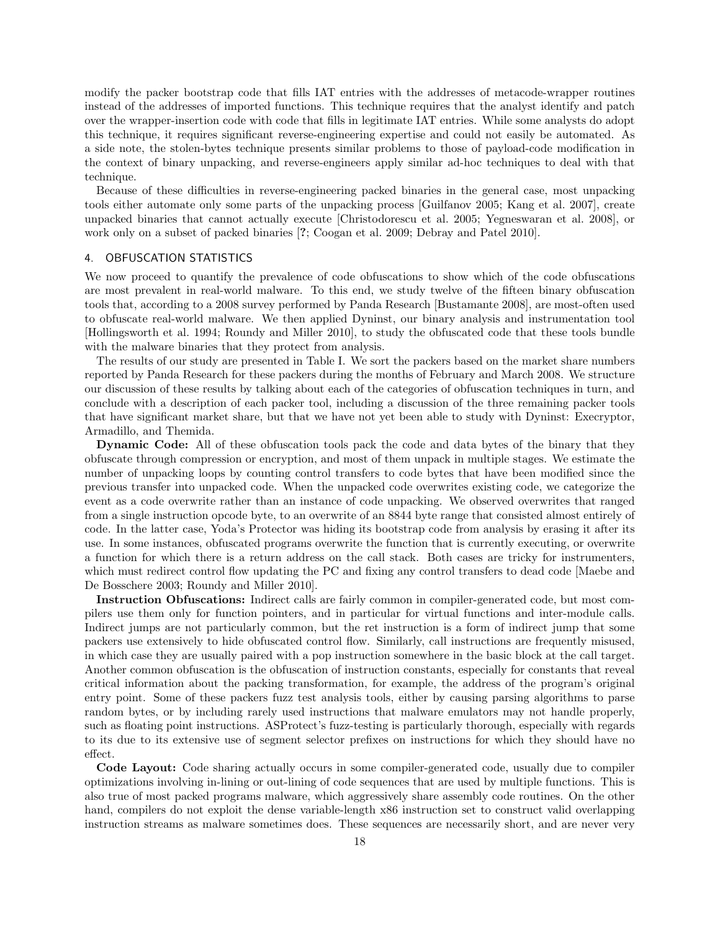modify the packer bootstrap code that fills IAT entries with the addresses of metacode-wrapper routines instead of the addresses of imported functions. This technique requires that the analyst identify and patch over the wrapper-insertion code with code that fills in legitimate IAT entries. While some analysts do adopt this technique, it requires significant reverse-engineering expertise and could not easily be automated. As a side note, the stolen-bytes technique presents similar problems to those of payload-code modification in the context of binary unpacking, and reverse-engineers apply similar ad-hoc techniques to deal with that technique.

Because of these difficulties in reverse-engineering packed binaries in the general case, most unpacking tools either automate only some parts of the unpacking process [Guilfanov 2005; Kang et al. 2007], create unpacked binaries that cannot actually execute [Christodorescu et al. 2005; Yegneswaran et al. 2008], or work only on a subset of packed binaries [?; Coogan et al. 2009; Debray and Patel 2010].

# 4. OBFUSCATION STATISTICS

We now proceed to quantify the prevalence of code obfuscations to show which of the code obfuscations are most prevalent in real-world malware. To this end, we study twelve of the fifteen binary obfuscation tools that, according to a 2008 survey performed by Panda Research [Bustamante 2008], are most-often used to obfuscate real-world malware. We then applied Dyninst, our binary analysis and instrumentation tool [Hollingsworth et al. 1994; Roundy and Miller 2010], to study the obfuscated code that these tools bundle with the malware binaries that they protect from analysis.

The results of our study are presented in Table I. We sort the packers based on the market share numbers reported by Panda Research for these packers during the months of February and March 2008. We structure our discussion of these results by talking about each of the categories of obfuscation techniques in turn, and conclude with a description of each packer tool, including a discussion of the three remaining packer tools that have significant market share, but that we have not yet been able to study with Dyninst: Execryptor, Armadillo, and Themida.

Dynamic Code: All of these obfuscation tools pack the code and data bytes of the binary that they obfuscate through compression or encryption, and most of them unpack in multiple stages. We estimate the number of unpacking loops by counting control transfers to code bytes that have been modified since the previous transfer into unpacked code. When the unpacked code overwrites existing code, we categorize the event as a code overwrite rather than an instance of code unpacking. We observed overwrites that ranged from a single instruction opcode byte, to an overwrite of an 8844 byte range that consisted almost entirely of code. In the latter case, Yoda's Protector was hiding its bootstrap code from analysis by erasing it after its use. In some instances, obfuscated programs overwrite the function that is currently executing, or overwrite a function for which there is a return address on the call stack. Both cases are tricky for instrumenters, which must redirect control flow updating the PC and fixing any control transfers to dead code [Maebe and De Bosschere 2003; Roundy and Miller 2010].

Instruction Obfuscations: Indirect calls are fairly common in compiler-generated code, but most compilers use them only for function pointers, and in particular for virtual functions and inter-module calls. Indirect jumps are not particularly common, but the ret instruction is a form of indirect jump that some packers use extensively to hide obfuscated control flow. Similarly, call instructions are frequently misused, in which case they are usually paired with a pop instruction somewhere in the basic block at the call target. Another common obfuscation is the obfuscation of instruction constants, especially for constants that reveal critical information about the packing transformation, for example, the address of the program's original entry point. Some of these packers fuzz test analysis tools, either by causing parsing algorithms to parse random bytes, or by including rarely used instructions that malware emulators may not handle properly, such as floating point instructions. ASProtect's fuzz-testing is particularly thorough, especially with regards to its due to its extensive use of segment selector prefixes on instructions for which they should have no effect.

Code Layout: Code sharing actually occurs in some compiler-generated code, usually due to compiler optimizations involving in-lining or out-lining of code sequences that are used by multiple functions. This is also true of most packed programs malware, which aggressively share assembly code routines. On the other hand, compilers do not exploit the dense variable-length x86 instruction set to construct valid overlapping instruction streams as malware sometimes does. These sequences are necessarily short, and are never very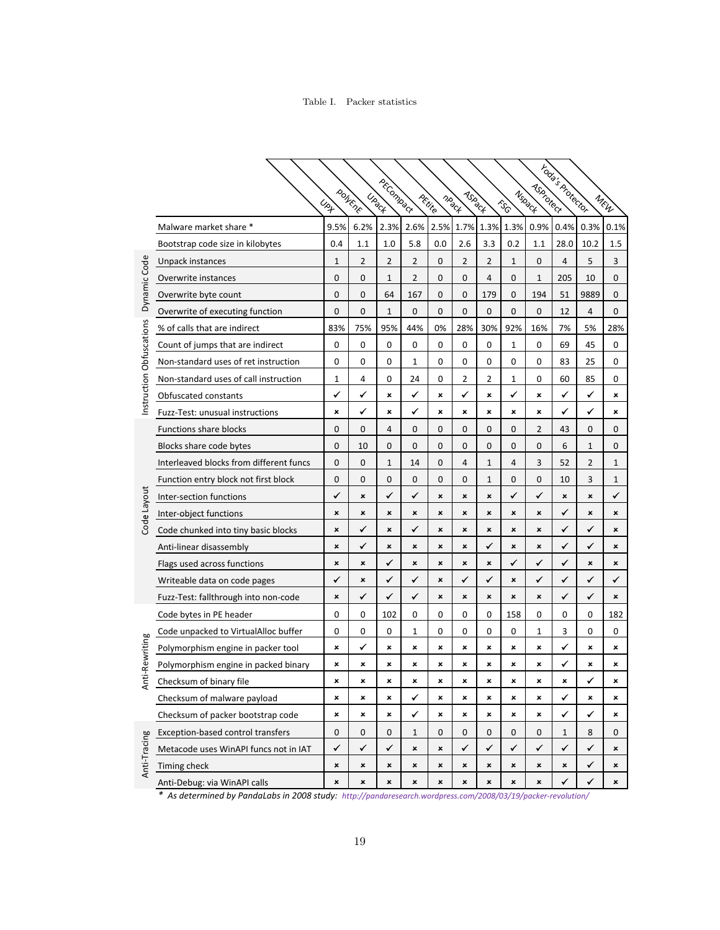# Table I. Packer statistics

| Ioda's protector<br>pt.Compacy<br>ASPITOROCY |                                                                                                                                  |                |                |              |                |      |                           |                           |                |              |      |                |                           |
|----------------------------------------------|----------------------------------------------------------------------------------------------------------------------------------|----------------|----------------|--------------|----------------|------|---------------------------|---------------------------|----------------|--------------|------|----------------|---------------------------|
|                                              | polytine<br>Nspack<br><b>ASPACK</b><br>Upack<br>PETite<br>mack<br>MEW<br>$\mathcal{C}_{\mathbb{A}^{\!+}}$<br>$\hat{\mathcal{S}}$ |                |                |              |                |      |                           |                           |                |              |      |                |                           |
|                                              | Malware market share *                                                                                                           | 9.5%           | 6.2%           | 2.3%         | 2.6%           | 2.5% | 1.7%                      | 1.3%                      | 1.3%           | 0.9%         | 0.4% | 0.3%           | 0.1%                      |
|                                              | Bootstrap code size in kilobytes                                                                                                 | 0.4            | 1.1            | 1.0          | 5.8            | 0.0  | 2.6                       | 3.3                       | 0.2            | 1.1          | 28.0 | 10.2           | 1.5                       |
|                                              | Unpack instances                                                                                                                 | $\mathbf{1}$   | 2              | 2            | 2              | 0    | 2                         | 2                         | $\mathbf{1}$   | 0            | 4    | 5              | 3                         |
|                                              | Overwrite instances                                                                                                              | $\mathbf 0$    | 0              | 1            | $\overline{2}$ | 0    | $\mathbf{0}$              | $\overline{4}$            | $\mathbf 0$    | $\mathbf{1}$ | 205  | 10             | $\mathbf{0}$              |
| Dynamic Code                                 | Overwrite byte count                                                                                                             | 0              | 0              | 64           | 167            | 0    | 0                         | 179                       | 0              | 194          | 51   | 9889           | 0                         |
|                                              | Overwrite of executing function                                                                                                  | $\mathbf 0$    | $\mathbf 0$    | $\mathbf{1}$ | 0              | 0    | $\mathbf 0$               | $\mathbf{0}$              | $\mathbf 0$    | 0            | 12   | 4              | 0                         |
|                                              | % of calls that are indirect                                                                                                     | 83%            | 75%            | 95%          | 44%            | 0%   | 28%                       | 30%                       | 92%            | 16%          | 7%   | 5%             | 28%                       |
|                                              | Count of jumps that are indirect                                                                                                 | 0              | 0              | 0            | 0              | 0    | 0                         | 0                         | $\mathbf{1}$   | 0            | 69   | 45             | 0                         |
|                                              | Non-standard uses of ret instruction                                                                                             | 0              | 0              | 0            | 1              | 0    | 0                         | 0                         | 0              | 0            | 83   | 25             | 0                         |
|                                              | Non-standard uses of call instruction                                                                                            | 1              | 4              | 0            | 24             | 0    | 2                         | 2                         | 1              | 0            | 60   | 85             | 0                         |
| nstruction Obfuscations                      | Obfuscated constants                                                                                                             | ✔              | ✔              | ×            | ✓              | ×    | ✔                         | $\boldsymbol{\mathsf{x}}$ | ✓              | ×            | ✓    | ✓              | $\pmb{\times}$            |
|                                              | Fuzz-Test: unusual instructions                                                                                                  | ×              | ✓              | ×            | ✓              | ×    | $\pmb{\times}$            | ×                         | ×              | ×            | ✔    | ✓              | $\mathbf x$               |
|                                              | Functions share blocks                                                                                                           | 0              | $\mathbf 0$    | 4            | 0              | 0    | 0                         | 0                         | $\mathbf 0$    | 2            | 43   | 0              | 0                         |
|                                              | Blocks share code bytes                                                                                                          | 0              | 10             | 0            | 0              | 0    | 0                         | 0                         | $\mathbf 0$    | 0            | 6    | $\mathbf{1}$   | 0                         |
|                                              | Interleaved blocks from different funcs                                                                                          | 0              | 0              | $\mathbf{1}$ | 14             | 0    | 4                         | $\mathbf{1}$              | 4              | 3            | 52   | $\overline{2}$ | $\mathbf{1}$              |
|                                              | Function entry block not first block                                                                                             | 0              | 0              | 0            | 0              | 0    | 0                         | $\mathbf{1}$              | $\mathbf 0$    | 0            | 10   | 3              | $\mathbf{1}$              |
|                                              | Inter-section functions                                                                                                          | ✓              | ×              | ✓            | ✓              | ×    | ×                         | ×                         | ✓              | ✓            | ×    | ×              | ✓                         |
| Code Layout                                  | Inter-object functions                                                                                                           | $\pmb{\times}$ | $\pmb{\times}$ | ×            | ×              | ×    | $\boldsymbol{\mathsf{x}}$ | $\boldsymbol{\mathsf{x}}$ | $\pmb{\times}$ | ×            | ✓    | ×              | $\mathbf x$               |
|                                              | Code chunked into tiny basic blocks                                                                                              | ×              | ✓              | ×            | ✓              | ×    | ×                         | $\pmb{\times}$            | ×              | ×            | ✓    | ✓              | ×                         |
|                                              | Anti-linear disassembly                                                                                                          | ×              | ✓              | ×            | $\pmb{\times}$ | ×    | ×                         | ✓                         | $\pmb{\times}$ | ×            | ✓    | ✓              | ×                         |
|                                              | Flags used across functions                                                                                                      | ×              | ×              | ✓            | ×              | ×    | ×                         | $\pmb{\times}$            | ✓              | ✓            | ✓    | ×              | ×                         |
|                                              | Writeable data on code pages                                                                                                     | ✓              | ×              | ✓            | ✓              | ×    | ✓                         | ✔                         | $\pmb{\times}$ | ✓            | ✓    | ✓              | ✓                         |
|                                              | Fuzz-Test: fallthrough into non-code                                                                                             | ×              | ✓              | ✓            | ✓              | ×    | ×                         | $\boldsymbol{\mathsf{x}}$ | $\pmb{\times}$ | ×            | ✓    | ✓              | $\mathbf x$               |
|                                              | Code bytes in PE header                                                                                                          | 0              | $\mathbf 0$    | 102          | 0              | 0    | 0                         | $\mathbf 0$               | 158            | 0            | 0    | 0              | 182                       |
|                                              | Code unpacked to VirtualAlloc buffer                                                                                             | 0              | $\mathbf 0$    | 0            | $\mathbf{1}$   | 0    | 0                         | 0                         | $\Omega$       | $\mathbf{1}$ | 3    | 0              | 0                         |
|                                              | Polymorphism engine in packer tool                                                                                               | ×              | ✓              | ×            | ×              | ×    | ×                         | ×                         | ×              | ×            | ✓    | ×              | ×                         |
| nti-Rewriting<br>⋖                           | Polymorphism engine in packed binary                                                                                             | ×              | ×              | ×            | ×              | ×    | ×                         | ×                         | $\pmb{\times}$ | ×            | ✓    | ×              | ×                         |
|                                              | Checksum of binary file                                                                                                          | ×              | ×              | ×            | ×              | ×    | ×                         | ×                         | ×              | ×            | ×    | ✔              | ×                         |
|                                              | Checksum of malware payload                                                                                                      | ×              | ×              | ×            | ✓              | ×    | $\pmb{\times}$            | ×                         | ×              | ×            | ✓    | ×              | ×                         |
|                                              | Checksum of packer bootstrap code                                                                                                | ×              | ×              | ×            | ✓              | ×    | ×                         | ×                         | ×              | ×            | ✓    | ✓              | ×                         |
|                                              | Exception-based control transfers                                                                                                | 0              | 0              | 0            | $\mathbf{1}$   | 0    | 0                         | 0                         | 0              | 0            | 1    | 8              | 0                         |
| Anti-Tracing                                 | Metacode uses WinAPI funcs not in IAT                                                                                            | ✔              | ✓              | ✓            | ×              | ×    | ✓                         | ✔                         | ✔              | ✔            | ✔    | ✓              | ×                         |
|                                              | Timing check                                                                                                                     | ×              | ×              | ×            | ×              | ×    | ×                         | $\pmb{\times}$            | ×              | ×            | ×    | ✓              | ×                         |
|                                              | Anti-Debug: via WinAPI calls                                                                                                     | ×              | $\pmb{\times}$ | ×            | ×              | ×    | ×                         | $\pmb{\times}$            | ×              | ×            | ✔    | ✔              | $\boldsymbol{\mathsf{x}}$ |

*\* As determined by PandaLabs in 2008 study: http://pandaresearch.wordpress.com/2008/03/19/packer‐revolution/*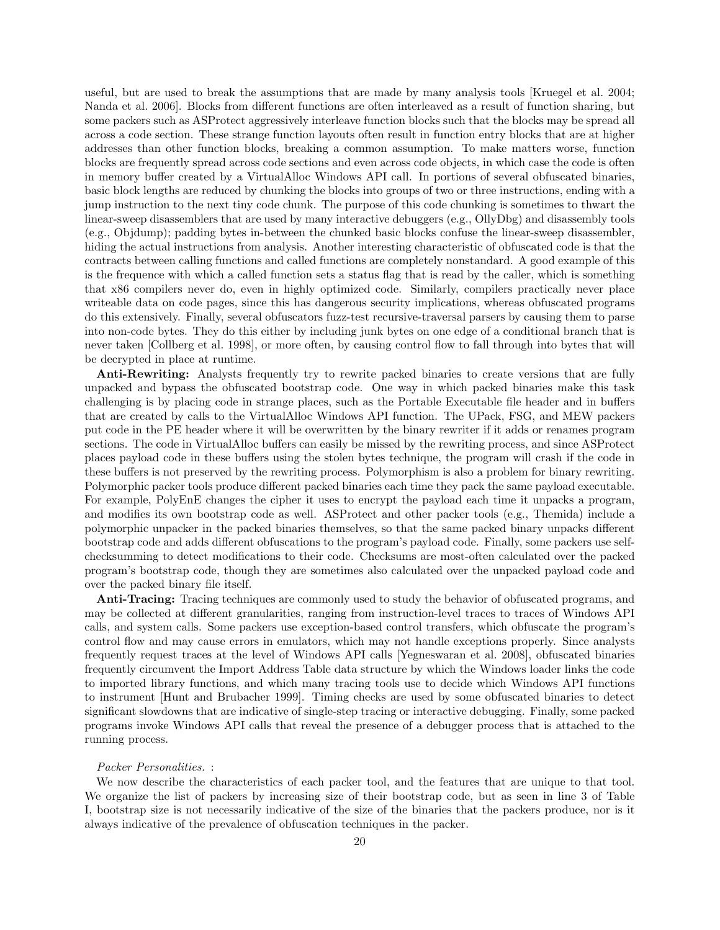useful, but are used to break the assumptions that are made by many analysis tools [Kruegel et al. 2004; Nanda et al. 2006]. Blocks from different functions are often interleaved as a result of function sharing, but some packers such as ASProtect aggressively interleave function blocks such that the blocks may be spread all across a code section. These strange function layouts often result in function entry blocks that are at higher addresses than other function blocks, breaking a common assumption. To make matters worse, function blocks are frequently spread across code sections and even across code objects, in which case the code is often in memory buffer created by a VirtualAlloc Windows API call. In portions of several obfuscated binaries, basic block lengths are reduced by chunking the blocks into groups of two or three instructions, ending with a jump instruction to the next tiny code chunk. The purpose of this code chunking is sometimes to thwart the linear-sweep disassemblers that are used by many interactive debuggers (e.g., OllyDbg) and disassembly tools (e.g., Objdump); padding bytes in-between the chunked basic blocks confuse the linear-sweep disassembler, hiding the actual instructions from analysis. Another interesting characteristic of obfuscated code is that the contracts between calling functions and called functions are completely nonstandard. A good example of this is the frequence with which a called function sets a status flag that is read by the caller, which is something that x86 compilers never do, even in highly optimized code. Similarly, compilers practically never place writeable data on code pages, since this has dangerous security implications, whereas obfuscated programs do this extensively. Finally, several obfuscators fuzz-test recursive-traversal parsers by causing them to parse into non-code bytes. They do this either by including junk bytes on one edge of a conditional branch that is never taken [Collberg et al. 1998], or more often, by causing control flow to fall through into bytes that will be decrypted in place at runtime.

Anti-Rewriting: Analysts frequently try to rewrite packed binaries to create versions that are fully unpacked and bypass the obfuscated bootstrap code. One way in which packed binaries make this task challenging is by placing code in strange places, such as the Portable Executable file header and in buffers that are created by calls to the VirtualAlloc Windows API function. The UPack, FSG, and MEW packers put code in the PE header where it will be overwritten by the binary rewriter if it adds or renames program sections. The code in VirtualAlloc buffers can easily be missed by the rewriting process, and since ASProtect places payload code in these buffers using the stolen bytes technique, the program will crash if the code in these buffers is not preserved by the rewriting process. Polymorphism is also a problem for binary rewriting. Polymorphic packer tools produce different packed binaries each time they pack the same payload executable. For example, PolyEnE changes the cipher it uses to encrypt the payload each time it unpacks a program, and modifies its own bootstrap code as well. ASProtect and other packer tools (e.g., Themida) include a polymorphic unpacker in the packed binaries themselves, so that the same packed binary unpacks different bootstrap code and adds different obfuscations to the program's payload code. Finally, some packers use selfchecksumming to detect modifications to their code. Checksums are most-often calculated over the packed program's bootstrap code, though they are sometimes also calculated over the unpacked payload code and over the packed binary file itself.

Anti-Tracing: Tracing techniques are commonly used to study the behavior of obfuscated programs, and may be collected at different granularities, ranging from instruction-level traces to traces of Windows API calls, and system calls. Some packers use exception-based control transfers, which obfuscate the program's control flow and may cause errors in emulators, which may not handle exceptions properly. Since analysts frequently request traces at the level of Windows API calls [Yegneswaran et al. 2008], obfuscated binaries frequently circumvent the Import Address Table data structure by which the Windows loader links the code to imported library functions, and which many tracing tools use to decide which Windows API functions to instrument [Hunt and Brubacher 1999]. Timing checks are used by some obfuscated binaries to detect significant slowdowns that are indicative of single-step tracing or interactive debugging. Finally, some packed programs invoke Windows API calls that reveal the presence of a debugger process that is attached to the running process.

#### Packer Personalities. :

We now describe the characteristics of each packer tool, and the features that are unique to that tool. We organize the list of packers by increasing size of their bootstrap code, but as seen in line 3 of Table I, bootstrap size is not necessarily indicative of the size of the binaries that the packers produce, nor is it always indicative of the prevalence of obfuscation techniques in the packer.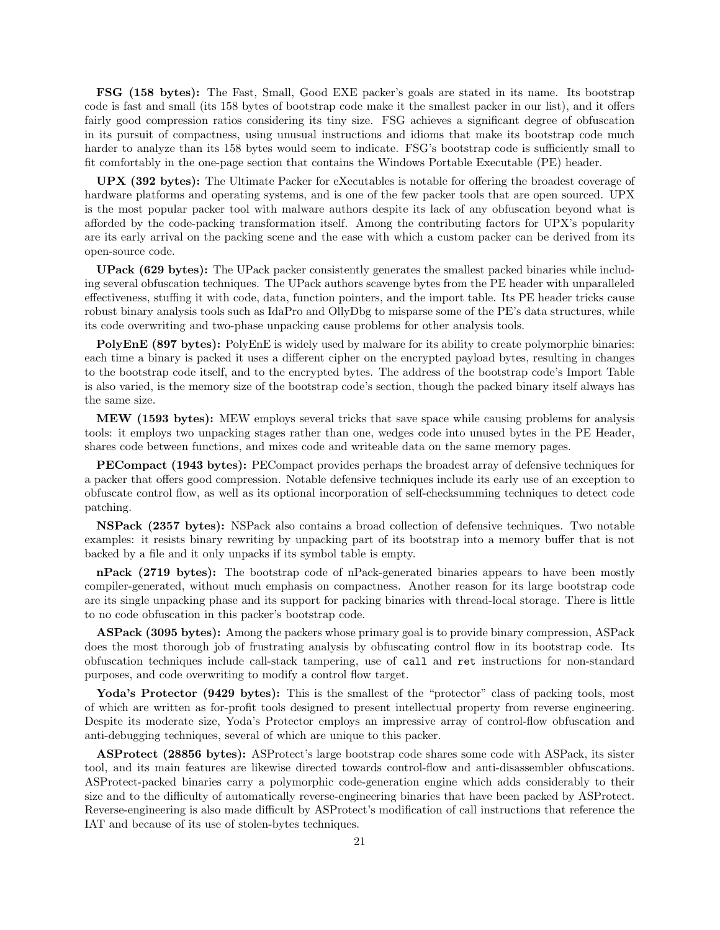FSG (158 bytes): The Fast, Small, Good EXE packer's goals are stated in its name. Its bootstrap code is fast and small (its 158 bytes of bootstrap code make it the smallest packer in our list), and it offers fairly good compression ratios considering its tiny size. FSG achieves a significant degree of obfuscation in its pursuit of compactness, using unusual instructions and idioms that make its bootstrap code much harder to analyze than its 158 bytes would seem to indicate. FSG's bootstrap code is sufficiently small to fit comfortably in the one-page section that contains the Windows Portable Executable (PE) header.

UPX (392 bytes): The Ultimate Packer for eXecutables is notable for offering the broadest coverage of hardware platforms and operating systems, and is one of the few packer tools that are open sourced. UPX is the most popular packer tool with malware authors despite its lack of any obfuscation beyond what is afforded by the code-packing transformation itself. Among the contributing factors for UPX's popularity are its early arrival on the packing scene and the ease with which a custom packer can be derived from its open-source code.

UPack (629 bytes): The UPack packer consistently generates the smallest packed binaries while including several obfuscation techniques. The UPack authors scavenge bytes from the PE header with unparalleled effectiveness, stuffing it with code, data, function pointers, and the import table. Its PE header tricks cause robust binary analysis tools such as IdaPro and OllyDbg to misparse some of the PE's data structures, while its code overwriting and two-phase unpacking cause problems for other analysis tools.

PolyEnE (897 bytes): PolyEnE is widely used by malware for its ability to create polymorphic binaries: each time a binary is packed it uses a different cipher on the encrypted payload bytes, resulting in changes to the bootstrap code itself, and to the encrypted bytes. The address of the bootstrap code's Import Table is also varied, is the memory size of the bootstrap code's section, though the packed binary itself always has the same size.

MEW (1593 bytes): MEW employs several tricks that save space while causing problems for analysis tools: it employs two unpacking stages rather than one, wedges code into unused bytes in the PE Header, shares code between functions, and mixes code and writeable data on the same memory pages.

PECompact (1943 bytes): PECompact provides perhaps the broadest array of defensive techniques for a packer that offers good compression. Notable defensive techniques include its early use of an exception to obfuscate control flow, as well as its optional incorporation of self-checksumming techniques to detect code patching.

NSPack (2357 bytes): NSPack also contains a broad collection of defensive techniques. Two notable examples: it resists binary rewriting by unpacking part of its bootstrap into a memory buffer that is not backed by a file and it only unpacks if its symbol table is empty.

nPack (2719 bytes): The bootstrap code of nPack-generated binaries appears to have been mostly compiler-generated, without much emphasis on compactness. Another reason for its large bootstrap code are its single unpacking phase and its support for packing binaries with thread-local storage. There is little to no code obfuscation in this packer's bootstrap code.

ASPack (3095 bytes): Among the packers whose primary goal is to provide binary compression, ASPack does the most thorough job of frustrating analysis by obfuscating control flow in its bootstrap code. Its obfuscation techniques include call-stack tampering, use of call and ret instructions for non-standard purposes, and code overwriting to modify a control flow target.

Yoda's Protector (9429 bytes): This is the smallest of the "protector" class of packing tools, most of which are written as for-profit tools designed to present intellectual property from reverse engineering. Despite its moderate size, Yoda's Protector employs an impressive array of control-flow obfuscation and anti-debugging techniques, several of which are unique to this packer.

ASProtect (28856 bytes): ASProtect's large bootstrap code shares some code with ASPack, its sister tool, and its main features are likewise directed towards control-flow and anti-disassembler obfuscations. ASProtect-packed binaries carry a polymorphic code-generation engine which adds considerably to their size and to the difficulty of automatically reverse-engineering binaries that have been packed by ASProtect. Reverse-engineering is also made difficult by ASProtect's modification of call instructions that reference the IAT and because of its use of stolen-bytes techniques.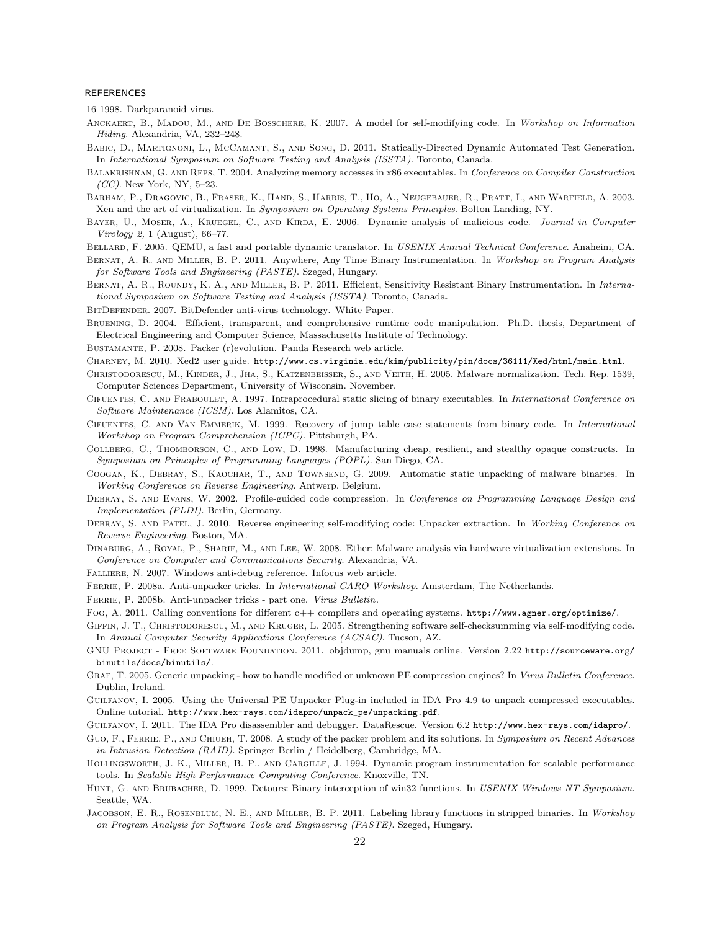#### **REFERENCES**

16 1998. Darkparanoid virus.

- ANCKAERT, B., MADOU, M., AND DE BOSSCHERE, K. 2007. A model for self-modifying code. In Workshop on Information Hiding. Alexandria, VA, 232–248.
- Babic, D., Martignoni, L., McCamant, S., and Song, D. 2011. Statically-Directed Dynamic Automated Test Generation. In International Symposium on Software Testing and Analysis (ISSTA). Toronto, Canada.
- BALAKRISHNAN, G. AND REPS, T. 2004. Analyzing memory accesses in x86 executables. In Conference on Compiler Construction  $(CC)$ . New York, NY, 5-23.
- Barham, P., Dragovic, B., Fraser, K., Hand, S., Harris, T., Ho, A., Neugebauer, R., Pratt, I., and Warfield, A. 2003. Xen and the art of virtualization. In Symposium on Operating Systems Principles. Bolton Landing, NY.
- BAYER, U., MOSER, A., KRUEGEL, C., AND KIRDA, E. 2006. Dynamic analysis of malicious code. Journal in Computer Virology 2, 1 (August), 66–77.

BELLARD, F. 2005. QEMU, a fast and portable dynamic translator. In USENIX Annual Technical Conference. Anaheim, CA.

- BERNAT, A. R. AND MILLER, B. P. 2011. Anywhere, Any Time Binary Instrumentation. In Workshop on Program Analysis for Software Tools and Engineering (PASTE). Szeged, Hungary.
- BERNAT, A. R., ROUNDY, K. A., AND MILLER, B. P. 2011. Efficient, Sensitivity Resistant Binary Instrumentation. In International Symposium on Software Testing and Analysis (ISSTA). Toronto, Canada.
- BitDefender. 2007. BitDefender anti-virus technology. White Paper.
- Bruening, D. 2004. Efficient, transparent, and comprehensive runtime code manipulation. Ph.D. thesis, Department of Electrical Engineering and Computer Science, Massachusetts Institute of Technology.
- Bustamante, P. 2008. Packer (r)evolution. Panda Research web article.
- Charney, M. 2010. Xed2 user guide. http://www.cs.virginia.edu/kim/publicity/pin/docs/36111/Xed/html/main.html.
- Christodorescu, M., Kinder, J., Jha, S., Katzenbeisser, S., and Veith, H. 2005. Malware normalization. Tech. Rep. 1539, Computer Sciences Department, University of Wisconsin. November.
- Cifuentes, C. and Fraboulet, A. 1997. Intraprocedural static slicing of binary executables. In International Conference on Software Maintenance (ICSM). Los Alamitos, CA.
- Cifuentes, C. and Van Emmerik, M. 1999. Recovery of jump table case statements from binary code. In International Workshop on Program Comprehension (ICPC). Pittsburgh, PA.
- Collberg, C., Thomborson, C., and Low, D. 1998. Manufacturing cheap, resilient, and stealthy opaque constructs. In Symposium on Principles of Programming Languages (POPL). San Diego, CA.
- Coogan, K., Debray, S., Kaochar, T., and Townsend, G. 2009. Automatic static unpacking of malware binaries. In Working Conference on Reverse Engineering. Antwerp, Belgium.
- DEBRAY, S. AND EVANS, W. 2002. Profile-guided code compression. In Conference on Programming Language Design and Implementation (PLDI). Berlin, Germany.
- DEBRAY, S. AND PATEL, J. 2010. Reverse engineering self-modifying code: Unpacker extraction. In Working Conference on Reverse Engineering. Boston, MA.
- Dinaburg, A., Royal, P., Sharif, M., and Lee, W. 2008. Ether: Malware analysis via hardware virtualization extensions. In Conference on Computer and Communications Security. Alexandria, VA.
- Falliere, N. 2007. Windows anti-debug reference. Infocus web article.
- FERRIE, P. 2008a. Anti-unpacker tricks. In *International CARO Workshop*. Amsterdam, The Netherlands.
- FERRIE, P. 2008b. Anti-unpacker tricks part one. Virus Bulletin.
- Fog, A. 2011. Calling conventions for different c++ compilers and operating systems. http://www.agner.org/optimize/.
- Giffin, J. T., Christodorescu, M., and Kruger, L. 2005. Strengthening software self-checksumming via self-modifying code. In Annual Computer Security Applications Conference (ACSAC). Tucson, AZ.
- GNU PROJECT FREE SOFTWARE FOUNDATION. 2011. objdump, gnu manuals online. Version 2.22 http://sourceware.org/ binutils/docs/binutils/.
- GRAF, T. 2005. Generic unpacking how to handle modified or unknown PE compression engines? In Virus Bulletin Conference. Dublin, Ireland.
- Guilfanov, I. 2005. Using the Universal PE Unpacker Plug-in included in IDA Pro 4.9 to unpack compressed executables. Online tutorial. http://www.hex-rays.com/idapro/unpack\_pe/unpacking.pdf.
- Guilfanov, I. 2011. The IDA Pro disassembler and debugger. DataRescue. Version 6.2 http://www.hex-rays.com/idapro/.
- GUO, F., FERRIE, P., AND CHIUEH, T. 2008. A study of the packer problem and its solutions. In Symposium on Recent Advances in Intrusion Detection (RAID). Springer Berlin / Heidelberg, Cambridge, MA.
- Hollingsworth, J. K., Miller, B. P., and Cargille, J. 1994. Dynamic program instrumentation for scalable performance tools. In Scalable High Performance Computing Conference. Knoxville, TN.
- HUNT, G. AND BRUBACHER, D. 1999. Detours: Binary interception of win32 functions. In USENIX Windows NT Symposium. Seattle, WA.
- JACOBSON, E. R., ROSENBLUM, N. E., AND MILLER, B. P. 2011. Labeling library functions in stripped binaries. In Workshop on Program Analysis for Software Tools and Engineering (PASTE). Szeged, Hungary.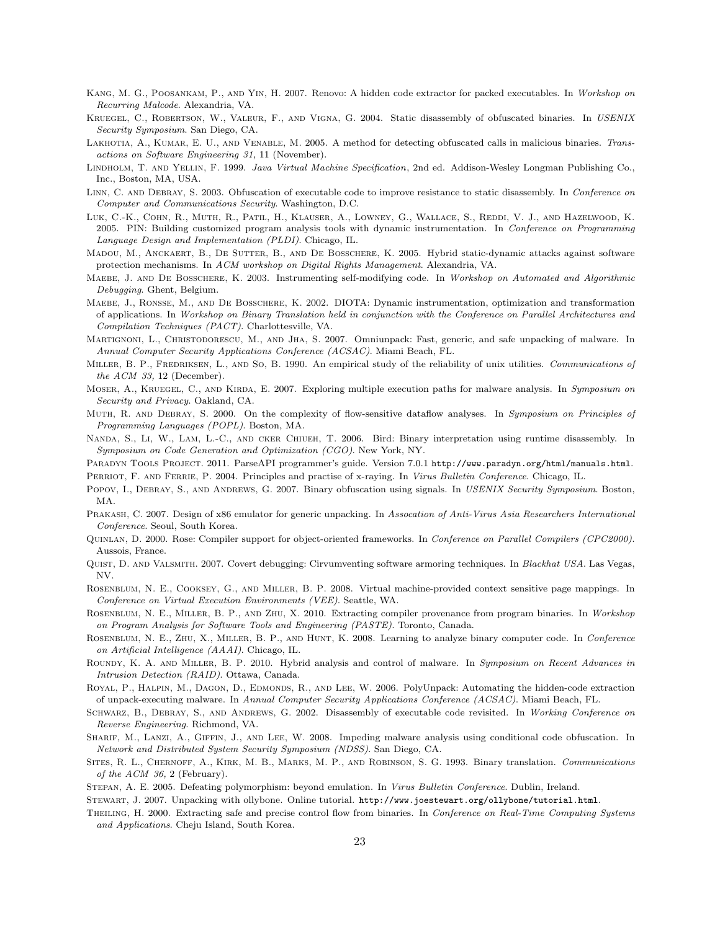- KANG, M. G., POOSANKAM, P., AND YIN, H. 2007. Renovo: A hidden code extractor for packed executables. In Workshop on Recurring Malcode. Alexandria, VA.
- KRUEGEL, C., ROBERTSON, W., VALEUR, F., AND VIGNA, G. 2004. Static disassembly of obfuscated binaries. In USENIX Security Symposium. San Diego, CA.
- LAKHOTIA, A., KUMAR, E. U., AND VENABLE, M. 2005. A method for detecting obfuscated calls in malicious binaries. Transactions on Software Engineering 31, 11 (November).
- LINDHOLM, T. AND YELLIN, F. 1999. Java Virtual Machine Specification, 2nd ed. Addison-Wesley Longman Publishing Co., Inc., Boston, MA, USA.
- LINN, C. AND DEBRAY, S. 2003. Obfuscation of executable code to improve resistance to static disassembly. In Conference on Computer and Communications Security. Washington, D.C.
- Luk, C.-K., Cohn, R., Muth, R., Patil, H., Klauser, A., Lowney, G., Wallace, S., Reddi, V. J., and Hazelwood, K. 2005. PIN: Building customized program analysis tools with dynamic instrumentation. In Conference on Programming Language Design and Implementation (PLDI). Chicago, IL.
- MADOU, M., ANCKAERT, B., DE SUTTER, B., AND DE BOSSCHERE, K. 2005. Hybrid static-dynamic attacks against software protection mechanisms. In ACM workshop on Digital Rights Management. Alexandria, VA.
- MAEBE, J. AND DE BOSSCHERE, K. 2003. Instrumenting self-modifying code. In Workshop on Automated and Algorithmic Debugging. Ghent, Belgium.
- MAEBE, J., RONSSE, M., AND DE BOSSCHERE, K. 2002. DIOTA: Dynamic instrumentation, optimization and transformation of applications. In Workshop on Binary Translation held in conjunction with the Conference on Parallel Architectures and Compilation Techniques (PACT). Charlottesville, VA.
- Martignoni, L., Christodorescu, M., and Jha, S. 2007. Omniunpack: Fast, generic, and safe unpacking of malware. In Annual Computer Security Applications Conference (ACSAC). Miami Beach, FL.
- MILLER, B. P., FREDRIKSEN, L., AND SO, B. 1990. An empirical study of the reliability of unix utilities. Communications of the ACM 33, 12 (December).
- MOSER, A., KRUEGEL, C., AND KIRDA, E. 2007. Exploring multiple execution paths for malware analysis. In Symposium on Security and Privacy. Oakland, CA.
- MUTH, R. AND DEBRAY, S. 2000. On the complexity of flow-sensitive dataflow analyses. In Symposium on Principles of Programming Languages (POPL). Boston, MA.
- Nanda, S., Li, W., Lam, L.-C., and cker Chiueh, T. 2006. Bird: Binary interpretation using runtime disassembly. In Symposium on Code Generation and Optimization (CGO). New York, NY.
- PARADYN TOOLS PROJECT. 2011. ParseAPI programmer's guide. Version 7.0.1 http://www.paradyn.org/html/manuals.html. PERRIOT, F. AND FERRIE, P. 2004. Principles and practise of x-raying. In Virus Bulletin Conference. Chicago, IL.
- POPOV, I., DEBRAY, S., AND ANDREWS, G. 2007. Binary obfuscation using signals. In USENIX Security Symposium. Boston, MA.
- PRAKASH, C. 2007. Design of x86 emulator for generic unpacking. In Assocation of Anti-Virus Asia Researchers International Conference. Seoul, South Korea.
- Quinlan, D. 2000. Rose: Compiler support for object-oriented frameworks. In Conference on Parallel Compilers (CPC2000). Aussois, France.
- Quist, D. and Valsmith. 2007. Covert debugging: Cirvumventing software armoring techniques. In Blackhat USA. Las Vegas, NV.
- Rosenblum, N. E., Cooksey, G., and Miller, B. P. 2008. Virtual machine-provided context sensitive page mappings. In Conference on Virtual Execution Environments (VEE). Seattle, WA.
- ROSENBLUM, N. E., MILLER, B. P., AND ZHU, X. 2010. Extracting compiler provenance from program binaries. In Workshop on Program Analysis for Software Tools and Engineering (PASTE). Toronto, Canada.
- ROSENBLUM, N. E., ZHU, X., MILLER, B. P., AND HUNT, K. 2008. Learning to analyze binary computer code. In Conference on Artificial Intelligence (AAAI). Chicago, IL.
- ROUNDY, K. A. AND MILLER, B. P. 2010. Hybrid analysis and control of malware. In Symposium on Recent Advances in Intrusion Detection (RAID). Ottawa, Canada.
- ROYAL, P., HALPIN, M., DAGON, D., EDMONDS, R., AND LEE, W. 2006. PolyUnpack: Automating the hidden-code extraction of unpack-executing malware. In Annual Computer Security Applications Conference (ACSAC). Miami Beach, FL.
- SCHWARZ, B., DEBRAY, S., AND ANDREWS, G. 2002. Disassembly of executable code revisited. In Working Conference on Reverse Engineering. Richmond, VA.
- SHARIF, M., LANZI, A., GIFFIN, J., AND LEE, W. 2008. Impeding malware analysis using conditional code obfuscation. In Network and Distributed System Security Symposium (NDSS). San Diego, CA.
- SITES, R. L., CHERNOFF, A., KIRK, M. B., MARKS, M. P., AND ROBINSON, S. G. 1993. Binary translation. Communications of the ACM 36, 2 (February).
- STEPAN, A. E. 2005. Defeating polymorphism: beyond emulation. In Virus Bulletin Conference. Dublin, Ireland.
- Stewart, J. 2007. Unpacking with ollybone. Online tutorial. http://www.joestewart.org/ollybone/tutorial.html.
- THEILING, H. 2000. Extracting safe and precise control flow from binaries. In Conference on Real-Time Computing Systems and Applications. Cheju Island, South Korea.